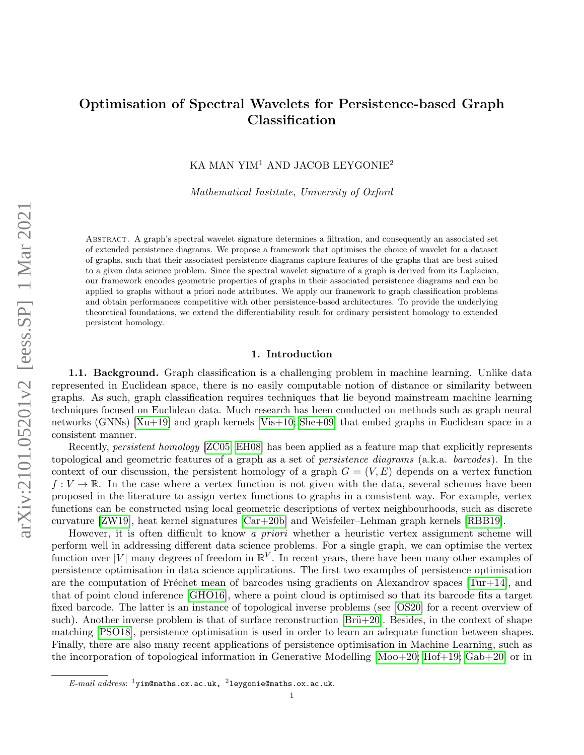# Optimisation of Spectral Wavelets for Persistence-based Graph Classification

KA MAN YIM<sup>1</sup> AND JACOB LEYGONIE<sup>2</sup>

Mathematical Institute, University of Oxford

Abstract. A graph's spectral wavelet signature determines a filtration, and consequently an associated set of extended persistence diagrams. We propose a framework that optimises the choice of wavelet for a dataset of graphs, such that their associated persistence diagrams capture features of the graphs that are best suited to a given data science problem. Since the spectral wavelet signature of a graph is derived from its Laplacian, our framework encodes geometric properties of graphs in their associated persistence diagrams and can be applied to graphs without a priori node attributes. We apply our framework to graph classification problems and obtain performances competitive with other persistence-based architectures. To provide the underlying theoretical foundations, we extend the differentiability result for ordinary persistent homology to extended persistent homology.

# 1. Introduction

1.1. Background. Graph classification is a challenging problem in machine learning. Unlike data represented in Euclidean space, there is no easily computable notion of distance or similarity between graphs. As such, graph classification requires techniques that lie beyond mainstream machine learning techniques focused on Euclidean data. Much research has been conducted on methods such as graph neural networks (GNNs) [\[Xu+19\]](#page-14-0) and graph kernels [\[Vis+10;](#page-13-0) [She+09\]](#page-13-1) that embed graphs in Euclidean space in a consistent manner.

Recently, persistent homology [\[ZC05;](#page-13-2) [EH08\]](#page-13-3) has been applied as a feature map that explicitly represents topological and geometric features of a graph as a set of persistence diagrams (a.k.a. barcodes). In the context of our discussion, the persistent homology of a graph  $G = (V, E)$  depends on a vertex function  $f: V \to \mathbb{R}$ . In the case where a vertex function is not given with the data, several schemes have been proposed in the literature to assign vertex functions to graphs in a consistent way. For example, vertex functions can be constructed using local geometric descriptions of vertex neighbourhoods, such as discrete curvature [\[ZW19\]](#page-15-0), heat kernel signatures [\[Car+20b\]](#page-15-1) and Weisfeiler–Lehman graph kernels [\[RBB19\]](#page-14-1).

However, it is often difficult to know a *priori* whether a heuristic vertex assignment scheme will perform well in addressing different data science problems. For a single graph, we can optimise the vertex function over |V| many degrees of freedom in  $\mathbb{R}^V$ . In recent years, there have been many other examples of persistence optimisation in data science applications. The first two examples of persistence optimisation are the computation of Fréchet mean of barcodes using gradients on Alexandrov spaces  $[Tur+14]$ , and that of point cloud inference [\[GHO16\]](#page-14-3), where a point cloud is optimised so that its barcode fits a target fixed barcode. The latter is an instance of topological inverse problems (see [\[OS20\]](#page-15-2) for a recent overview of such). Another inverse problem is that of surface reconstruction  $[Br\ddot{u}+20]$ . Besides, in the context of shape matching [\[PSO18\]](#page-14-4), persistence optimisation is used in order to learn an adequate function between shapes. Finally, there are also many recent applications of persistence optimisation in Machine Learning, such as the incorporation of topological information in Generative Modelling [\[Moo+20;](#page-15-4) [Hof+19;](#page-14-5) [Gab+20\]](#page-15-5) or in

1

 $E\text{-}mail\;address: \;{}^1$ yim@maths.ox.ac.uk,  $\;{}^2$ leygonie@maths.ox.ac.uk.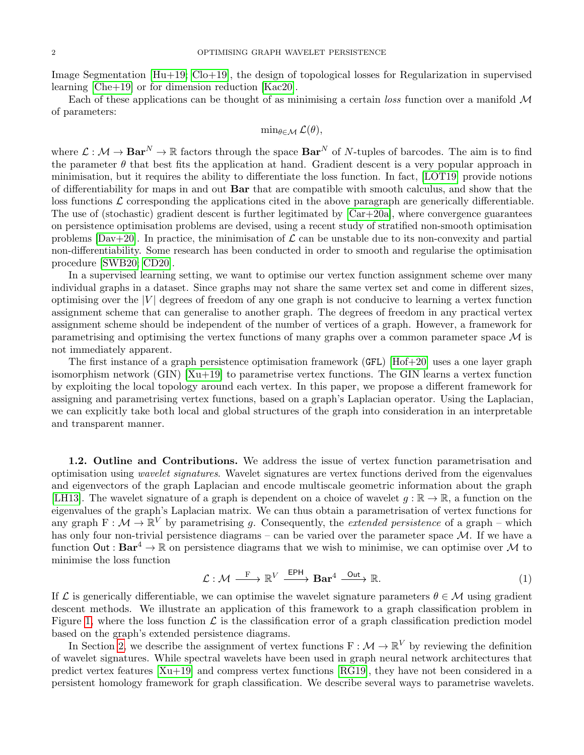Image Segmentation  $[Hu+19; Col-19]$  $[Hu+19; Col-19]$ , the design of topological losses for Regularization in supervised learning [\[Che+19\]](#page-14-8) or for dimension reduction [\[Kac20\]](#page-15-6).

Each of these applications can be thought of as minimising a certain loss function over a manifold  $\mathcal M$ of parameters:

$$
\min\nolimits_{\theta \in \mathcal{M}} \mathcal{L}(\theta),
$$

where  $\mathcal{L}: \mathcal{M} \to \mathbf{Bar}^N \to \mathbb{R}$  factors through the space  $\mathbf{Bar}^N$  of N-tuples of barcodes. The aim is to find the parameter  $\theta$  that best fits the application at hand. Gradient descent is a very popular approach in minimisation, but it requires the ability to differentiate the loss function. In fact, [\[LOT19\]](#page-14-9) provide notions of differentiability for maps in and out Bar that are compatible with smooth calculus, and show that the loss functions  $\mathcal L$  corresponding the applications cited in the above paragraph are generically differentiable. The use of (stochastic) gradient descent is further legitimated by  $[Car+20a]$ , where convergence guarantees on persistence optimisation problems are devised, using a recent study of stratified non-smooth optimisation problems  $[Day+20]$ . In practice, the minimisation of  $\mathcal L$  can be unstable due to its non-convexity and partial non-differentiability. Some research has been conducted in order to smooth and regularise the optimisation procedure [\[SWB20;](#page-15-9) [CD20\]](#page-15-10).

In a supervised learning setting, we want to optimise our vertex function assignment scheme over many individual graphs in a dataset. Since graphs may not share the same vertex set and come in different sizes, optimising over the  $|V|$  degrees of freedom of any one graph is not conducive to learning a vertex function assignment scheme that can generalise to another graph. The degrees of freedom in any practical vertex assignment scheme should be independent of the number of vertices of a graph. However, a framework for parametrising and optimising the vertex functions of many graphs over a common parameter space  $\mathcal M$  is not immediately apparent.

The first instance of a graph persistence optimisation framework (GFL) [\[Hof+20\]](#page-15-11) uses a one layer graph isomorphism network (GIN) [\[Xu+19\]](#page-14-0) to parametrise vertex functions. The GIN learns a vertex function by exploiting the local topology around each vertex. In this paper, we propose a different framework for assigning and parametrising vertex functions, based on a graph's Laplacian operator. Using the Laplacian, we can explicitly take both local and global structures of the graph into consideration in an interpretable and transparent manner.

1.2. Outline and Contributions. We address the issue of vertex function parametrisation and optimisation using wavelet signatures. Wavelet signatures are vertex functions derived from the eigenvalues and eigenvectors of the graph Laplacian and encode multiscale geometric information about the graph [\[LH13\]](#page-13-4). The wavelet signature of a graph is dependent on a choice of wavelet  $g : \mathbb{R} \to \mathbb{R}$ , a function on the eigenvalues of the graph's Laplacian matrix. We can thus obtain a parametrisation of vertex functions for any graph  $F: \mathcal{M} \to \mathbb{R}^V$  by parametrising g. Consequently, the *extended persistence* of a graph – which has only four non-trivial persistence diagrams – can be varied over the parameter space  $\mathcal{M}$ . If we have a function  $Out : Bar^4 \to \mathbb{R}$  on persistence diagrams that we wish to minimise, we can optimise over M to minimise the loss function

<span id="page-1-0"></span>
$$
\mathcal{L} : \mathcal{M} \xrightarrow{F} \mathbb{R}^V \xrightarrow{EPH} \mathbf{Bar}^4 \xrightarrow{Out} \mathbb{R}.
$$
 (1)

If  $\mathcal L$  is generically differentiable, we can optimise the wavelet signature parameters  $\theta \in \mathcal M$  using gradient descent methods. We illustrate an application of this framework to a graph classification problem in Figure [1,](#page-2-0) where the loss function  $\mathcal L$  is the classification error of a graph classification prediction model based on the graph's extended persistence diagrams.

In Section [2,](#page-2-1) we describe the assignment of vertex functions  $F : \mathcal{M} \to \mathbb{R}^V$  by reviewing the definition of wavelet signatures. While spectral wavelets have been used in graph neural network architectures that predict vertex features [\[Xu+19\]](#page-14-0) and compress vertex functions [\[RG19\]](#page-14-10), they have not been considered in a persistent homology framework for graph classification. We describe several ways to parametrise wavelets.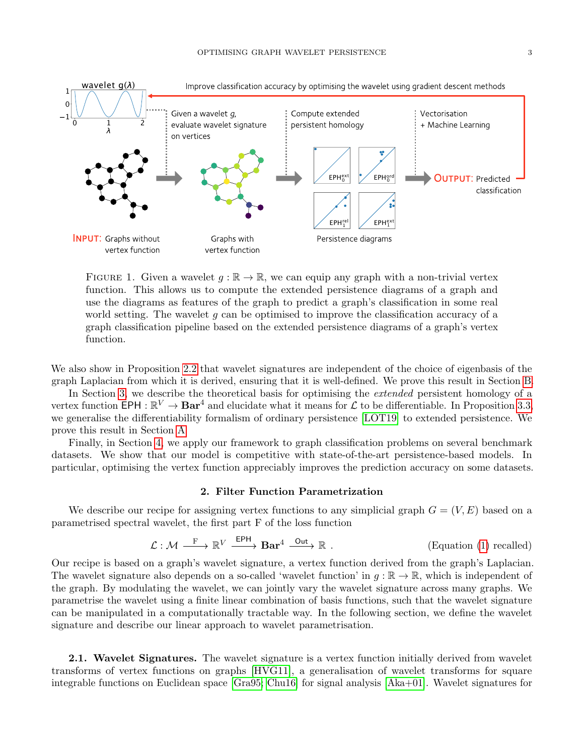<span id="page-2-0"></span>

FIGURE 1. Given a wavelet  $g : \mathbb{R} \to \mathbb{R}$ , we can equip any graph with a non-trivial vertex function. This allows us to compute the extended persistence diagrams of a graph and use the diagrams as features of the graph to predict a graph's classification in some real world setting. The wavelet q can be optimised to improve the classification accuracy of a graph classification pipeline based on the extended persistence diagrams of a graph's vertex function.

We also show in Proposition [2.2](#page-3-0) that wavelet signatures are independent of the choice of eigenbasis of the graph Laplacian from which it is derived, ensuring that it is well-defined. We prove this result in Section [B.](#page-18-0)

In Section [3,](#page-6-0) we describe the theoretical basis for optimising the *extended* persistent homology of a vertex function EPH :  $\mathbb{R}^V \to \mathbf{Bar}^4$  and elucidate what it means for  $\mathcal L$  to be differentiable. In Proposition [3.3,](#page-8-0) we generalise the differentiability formalism of ordinary persistence [\[LOT19\]](#page-14-9) to extended persistence. We prove this result in Section [A](#page-16-0)

Finally, in Section [4,](#page-8-1) we apply our framework to graph classification problems on several benchmark datasets. We show that our model is competitive with state-of-the-art persistence-based models. In particular, optimising the vertex function appreciably improves the prediction accuracy on some datasets.

# 2. Filter Function Parametrization

<span id="page-2-1"></span>We describe our recipe for assigning vertex functions to any simplicial graph  $G = (V, E)$  based on a parametrised spectral wavelet, the first part F of the loss function

$$
\mathcal{L} : \mathcal{M} \xrightarrow{F} \mathbb{R}^V \xrightarrow{EPH} \mathbf{Bar}^4 \xrightarrow{Out} \mathbb{R} .
$$
 (Equation (1) recalled)

Our recipe is based on a graph's wavelet signature, a vertex function derived from the graph's Laplacian. The wavelet signature also depends on a so-called 'wavelet function' in  $q : \mathbb{R} \to \mathbb{R}$ , which is independent of the graph. By modulating the wavelet, we can jointly vary the wavelet signature across many graphs. We parametrise the wavelet using a finite linear combination of basis functions, such that the wavelet signature can be manipulated in a computationally tractable way. In the following section, we define the wavelet signature and describe our linear approach to wavelet parametrisation.

2.1. Wavelet Signatures. The wavelet signature is a vertex function initially derived from wavelet transforms of vertex functions on graphs [\[HVG11\]](#page-13-5), a generalisation of wavelet transforms for square integrable functions on Euclidean space [\[Gra95;](#page-12-0) [Chu16\]](#page-14-11) for signal analysis [\[Aka+01\]](#page-13-6). Wavelet signatures for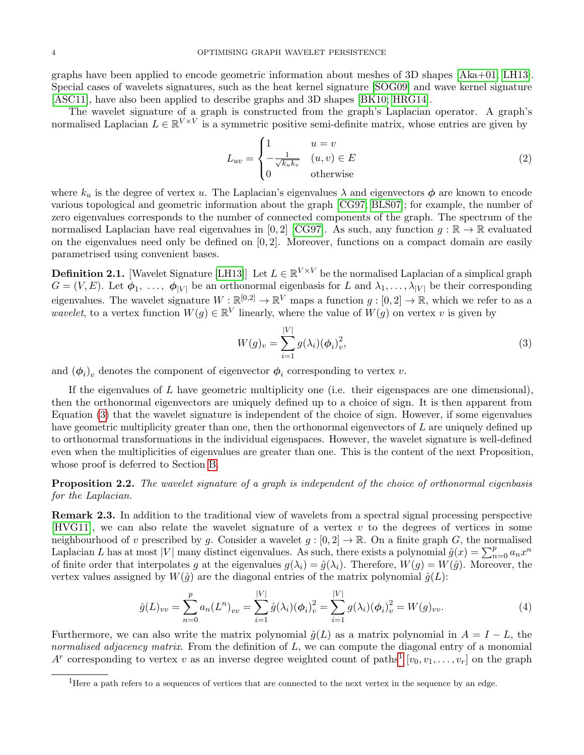graphs have been applied to encode geometric information about meshes of 3D shapes [\[Aka+01;](#page-13-6) [LH13\]](#page-13-4). Special cases of wavelets signatures, such as the heat kernel signature [\[SOG09\]](#page-13-7) and wave kernel signature [\[ASC11\]](#page-13-8), have also been applied to describe graphs and 3D shapes [\[BK10;](#page-13-9) [HRG14\]](#page-13-10).

The wavelet signature of a graph is constructed from the graph's Laplacian operator. A graph's normalised Laplacian  $L \in \mathbb{R}^{V \times V}$  is a symmetric positive semi-definite matrix, whose entries are given by

$$
L_{uv} = \begin{cases} 1 & u = v \\ -\frac{1}{\sqrt{k_u k_v}} & (u, v) \in E \\ 0 & \text{otherwise} \end{cases}
$$
 (2)

where  $k_u$  is the degree of vertex u. The Laplacian's eigenvalues  $\lambda$  and eigenvectors  $\phi$  are known to encode various topological and geometric information about the graph [\[CG97;](#page-12-1) [BLS07\]](#page-13-11); for example, the number of zero eigenvalues corresponds to the number of connected components of the graph. The spectrum of the normalised Laplacian have real eigenvalues in [0, 2] [\[CG97\]](#page-12-1). As such, any function  $g : \mathbb{R} \to \mathbb{R}$  evaluated on the eigenvalues need only be defined on  $[0, 2]$ . Moreover, functions on a compact domain are easily parametrised using convenient bases.

<span id="page-3-4"></span>**Definition 2.1.** [Wavelet Signature [\[LH13\]](#page-13-4)] Let  $L \in \mathbb{R}^{V \times V}$  be the normalised Laplacian of a simplical graph  $G = (V, E)$ . Let  $\phi_1, \ldots, \phi_{|V|}$  be an orthonormal eigenbasis for L and  $\lambda_1, \ldots, \lambda_{|V|}$  be their corresponding eigenvalues. The wavelet signature  $W:\mathbb{R}^{[0,2]} \to \mathbb{R}^V$  maps a function  $g:[0,2] \to \mathbb{R}$ , which we refer to as a *wavelet*, to a vertex function  $W(g) \in \mathbb{R}^V$  linearly, where the value of  $W(g)$  on vertex v is given by

<span id="page-3-1"></span>
$$
W(g)_v = \sum_{i=1}^{|V|} g(\lambda_i) (\phi_i)_v^2,
$$
\n(3)

and  $(\phi_i)_v$  denotes the component of eigenvector  $\phi_i$  corresponding to vertex v.

If the eigenvalues of  $L$  have geometric multiplicity one (i.e. their eigenspaces are one dimensional), then the orthonormal eigenvectors are uniquely defined up to a choice of sign. It is then apparent from Equation [\(3\)](#page-3-1) that the wavelet signature is independent of the choice of sign. However, if some eigenvalues have geometric multiplicity greater than one, then the orthonormal eigenvectors of L are uniquely defined up to orthonormal transformations in the individual eigenspaces. However, the wavelet signature is well-defined even when the multiplicities of eigenvalues are greater than one. This is the content of the next Proposition, whose proof is deferred to Section [B.](#page-18-0)

<span id="page-3-0"></span>**Proposition 2.2.** The wavelet signature of a graph is independent of the choice of orthonormal eigenbasis for the Laplacian.

<span id="page-3-3"></span>Remark 2.3. In addition to the traditional view of wavelets from a spectral signal processing perspective [\[HVG11\]](#page-13-5), we can also relate the wavelet signature of a vertex  $v$  to the degrees of vertices in some neighbourhood of v prescribed by g. Consider a wavelet  $g : [0, 2] \to \mathbb{R}$ . On a finite graph G, the normalised Laplacian L has at most |V| many distinct eigenvalues. As such, there exists a polynomial  $\hat{g}(x) = \sum_{n=0}^{p} a_n x^n$ of finite order that interpolates g at the eigenvalues  $g(\lambda_i) = \hat{g}(\lambda_i)$ . Therefore,  $W(g) = W(\hat{g})$ . Moreover, the vertex values assigned by  $W(\hat{g})$  are the diagonal entries of the matrix polynomial  $\hat{g}(L)$ :

$$
\hat{g}(L)_{vv} = \sum_{n=0}^{p} a_n (L^n)_{vv} = \sum_{i=1}^{|V|} \hat{g}(\lambda_i) (\phi_i)_v^2 = \sum_{i=1}^{|V|} g(\lambda_i) (\phi_i)_v^2 = W(g)_{vv}.
$$
\n(4)

Furthermore, we can also write the matrix polynomial  $\hat{q}(L)$  as a matrix polynomial in  $A = I - L$ , the normalised adjacency matrix. From the definition of  $L$ , we can compute the diagonal entry of a monomial  $A^r$  corresponding to vertex v as an inverse degree weighted count of paths<sup>[1](#page-3-2)</sup>  $[v_0, v_1, \ldots, v_r]$  on the graph

<span id="page-3-2"></span><sup>&</sup>lt;sup>1</sup>Here a path refers to a sequences of vertices that are connected to the next vertex in the sequence by an edge.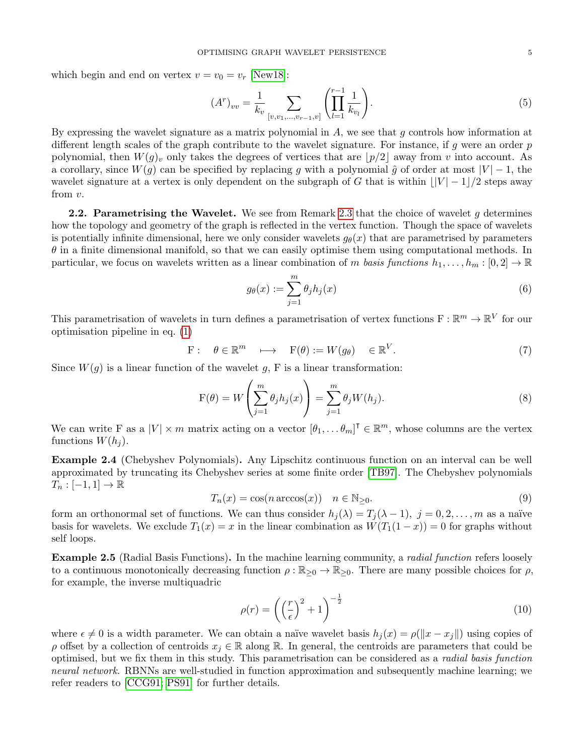which begin and end on vertex  $v = v_0 = v_r$  [\[New18\]](#page-14-12):

$$
(Ar)vv = \frac{1}{k_v} \sum_{[v,v_1,...,v_{r-1},v]} \left( \prod_{l=1}^{r-1} \frac{1}{k_{v_l}} \right).
$$
 (5)

By expressing the wavelet signature as a matrix polynomial in  $A$ , we see that q controls how information at different length scales of the graph contribute to the wavelet signature. For instance, if g were an order  $p$ polynomial, then  $W(g)_v$  only takes the degrees of vertices that are  $|p/2|$  away from v into account. As a corollary, since  $W(g)$  can be specified by replacing g with a polynomial  $\hat{g}$  of order at most  $|V| - 1$ , the wavelet signature at a vertex is only dependent on the subgraph of G that is within  $||V| - 1/2$  steps away from v.

<span id="page-4-0"></span>**2.2.** Parametrising the Wavelet. We see from Remark [2.3](#page-3-3) that the choice of wavelet q determines how the topology and geometry of the graph is reflected in the vertex function. Though the space of wavelets is potentially infinite dimensional, here we only consider wavelets  $g_{\theta}(x)$  that are parametrised by parameters  $\theta$  in a finite dimensional manifold, so that we can easily optimise them using computational methods. In particular, we focus on wavelets written as a linear combination of m basis functions  $h_1, \ldots, h_m : [0, 2] \to \mathbb{R}$ 

$$
g_{\theta}(x) := \sum_{j=1}^{m} \theta_j h_j(x) \tag{6}
$$

This parametrisation of wavelets in turn defines a parametrisation of vertex functions  $F : \mathbb{R}^m \to \mathbb{R}^V$  for our optimisation pipeline in eq. [\(1\)](#page-1-0)

$$
\mathbf{F}: \quad \theta \in \mathbb{R}^m \quad \longmapsto \quad \mathbf{F}(\theta) := W(g_{\theta}) \quad \in \mathbb{R}^V. \tag{7}
$$

Since  $W(g)$  is a linear function of the wavelet g, F is a linear transformation:

$$
F(\theta) = W\left(\sum_{j=1}^{m} \theta_j h_j(x)\right) = \sum_{j=1}^{m} \theta_j W(h_j).
$$
\n(8)

We can write F as a  $|V| \times m$  matrix acting on a vector  $[\theta_1, \dots, \theta_m]^\mathsf{T} \in \mathbb{R}^m$ , whose columns are the vertex functions  $W(h_i)$ .

Example 2.4 (Chebyshev Polynomials). Any Lipschitz continuous function on an interval can be well approximated by truncating its Chebyshev series at some finite order [\[TB97\]](#page-12-2). The Chebyshev polynomials  $T_n: [-1,1] \to \mathbb{R}$ 

$$
T_n(x) = \cos(n \arccos(x)) \quad n \in \mathbb{N}_{\geq 0}.\tag{9}
$$

form an orthonormal set of functions. We can thus consider  $h_i(\lambda) = T_i(\lambda - 1)$ ,  $j = 0, 2, \ldots, m$  as a naïve basis for wavelets. We exclude  $T_1(x) = x$  in the linear combination as  $W(T_1(1-x)) = 0$  for graphs without self loops.

**Example 2.5** (Radial Basis Functions). In the machine learning community, a *radial function* refers loosely to a continuous monotonically decreasing function  $\rho : \mathbb{R}_{\geq 0} \to \mathbb{R}_{\geq 0}$ . There are many possible choices for  $\rho$ , for example, the inverse multiquadric

$$
\rho(r) = \left(\left(\frac{r}{\epsilon}\right)^2 + 1\right)^{-\frac{1}{2}}\tag{10}
$$

where  $\epsilon \neq 0$  is a width parameter. We can obtain a naïve wavelet basis  $h_i(x) = \rho(||x - x_i||)$  using copies of  $\rho$  offset by a collection of centroids  $x_j \in \mathbb{R}$  along R. In general, the centroids are parameters that could be optimised, but we fix them in this study. This parametrisation can be considered as a radial basis function neural network. RBNNs are well-studied in function approximation and subsequently machine learning; we refer readers to [\[CCG91;](#page-12-3) [PS91\]](#page-12-4) for further details.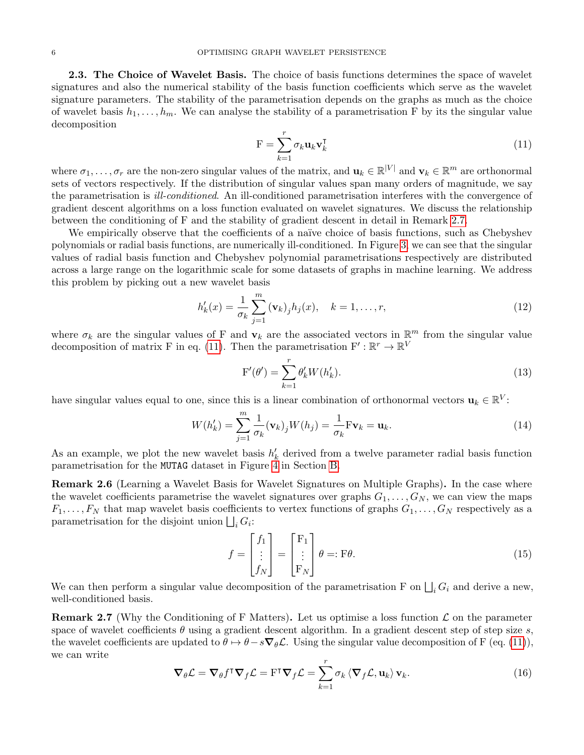2.3. The Choice of Wavelet Basis. The choice of basis functions determines the space of wavelet signatures and also the numerical stability of the basis function coefficients which serve as the wavelet signature parameters. The stability of the parametrisation depends on the graphs as much as the choice of wavelet basis  $h_1, \ldots, h_m$ . We can analyse the stability of a parametrisation F by its the singular value decomposition

<span id="page-5-1"></span>
$$
\mathbf{F} = \sum_{k=1}^{r} \sigma_k \mathbf{u}_k \mathbf{v}_k^{\mathsf{T}}
$$
 (11)

where  $\sigma_1,\ldots,\sigma_r$  are the non-zero singular values of the matrix, and  $\mathbf{u}_k \in \mathbb{R}^{|V|}$  and  $\mathbf{v}_k \in \mathbb{R}^m$  are orthonormal sets of vectors respectively. If the distribution of singular values span many orders of magnitude, we say the parametrisation is ill-conditioned. An ill-conditioned parametrisation interferes with the convergence of gradient descent algorithms on a loss function evaluated on wavelet signatures. We discuss the relationship between the conditioning of F and the stability of gradient descent in detail in Remark [2.7.](#page-5-0)

We empirically observe that the coefficients of a naïve choice of basis functions, such as Chebyshev polynomials or radial basis functions, are numerically ill-conditioned. In Figure [3,](#page-20-0) we can see that the singular values of radial basis function and Chebyshev polynomial parametrisations respectively are distributed across a large range on the logarithmic scale for some datasets of graphs in machine learning. We address this problem by picking out a new wavelet basis

<span id="page-5-3"></span>
$$
h'_k(x) = \frac{1}{\sigma_k} \sum_{j=1}^m (\mathbf{v}_k)_j h_j(x), \quad k = 1, \dots, r,
$$
\n(12)

where  $\sigma_k$  are the singular values of F and  $\mathbf{v}_k$  are the associated vectors in  $\mathbb{R}^m$  from the singular value decomposition of matrix F in eq. [\(11\)](#page-5-1). Then the parametrisation  $F': \mathbb{R}^r \to \mathbb{R}^V$ 

$$
\mathbf{F}'(\theta') = \sum_{k=1}^{r} \theta'_k W(h'_k). \tag{13}
$$

have singular values equal to one, since this is a linear combination of orthonormal vectors  $\mathbf{u}_k \in \mathbb{R}^V$ :

$$
W(h'_k) = \sum_{j=1}^{m} \frac{1}{\sigma_k} (\mathbf{v}_k)_j W(h_j) = \frac{1}{\sigma_k} \mathbf{F} \mathbf{v}_k = \mathbf{u}_k.
$$
 (14)

As an example, we plot the new wavelet basis  $h'_k$  derived from a twelve parameter radial basis function parametrisation for the MUTAG dataset in Figure [4](#page-21-0) in Section [B.](#page-18-0)

Remark 2.6 (Learning a Wavelet Basis for Wavelet Signatures on Multiple Graphs). In the case where the wavelet coefficients parametrise the wavelet signatures over graphs  $G_1, \ldots, G_N$ , we can view the maps  $F_1, \ldots, F_N$  that map wavelet basis coefficients to vertex functions of graphs  $G_1, \ldots, G_N$  respectively as a parametrisation for the disjoint union  $\bigsqcup_i G_i$ :

<span id="page-5-4"></span>
$$
f = \begin{bmatrix} f_1 \\ \vdots \\ f_N \end{bmatrix} = \begin{bmatrix} F_1 \\ \vdots \\ F_N \end{bmatrix} \theta =: F\theta.
$$
 (15)

We can then perform a singular value decomposition of the parametrisation F on  $\bigsqcup_i G_i$  and derive a new, well-conditioned basis.

<span id="page-5-0"></span>**Remark 2.7** (Why the Conditioning of F Matters). Let us optimise a loss function  $\mathcal{L}$  on the parameter space of wavelet coefficients  $\theta$  using a gradient descent algorithm. In a gradient descent step of step size s, the wavelet coefficients are updated to  $\theta \mapsto \theta - s\nabla_{\theta} \mathcal{L}$ . Using the singular value decomposition of F (eq. [\(11\)](#page-5-1)), we can write

<span id="page-5-2"></span>
$$
\nabla_{\theta} \mathcal{L} = \nabla_{\theta} f^{\mathsf{T}} \nabla_{f} \mathcal{L} = \mathbf{F}^{\mathsf{T}} \nabla_{f} \mathcal{L} = \sum_{k=1}^{r} \sigma_{k} \langle \nabla_{f} \mathcal{L}, \mathbf{u}_{k} \rangle \mathbf{v}_{k}.
$$
 (16)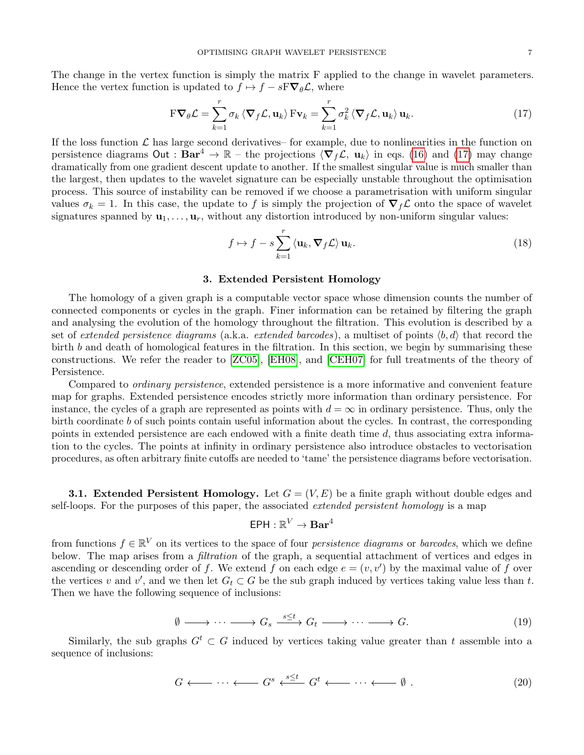The change in the vertex function is simply the matrix F applied to the change in wavelet parameters. Hence the vertex function is updated to  $f \mapsto f - sF \nabla_{\theta} \mathcal{L}$ , where

<span id="page-6-1"></span>
$$
\mathbf{F}\nabla_{\theta}\mathcal{L} = \sum_{k=1}^{r} \sigma_k \left\langle \nabla_f \mathcal{L}, \mathbf{u}_k \right\rangle \mathbf{F} \mathbf{v}_k = \sum_{k=1}^{r} \sigma_k^2 \left\langle \nabla_f \mathcal{L}, \mathbf{u}_k \right\rangle \mathbf{u}_k.
$$
 (17)

If the loss function  $\mathcal L$  has large second derivatives– for example, due to nonlinearities in the function on persistence diagrams Out :  $Bar^4 \rightarrow \mathbb{R}$  – the projections  $\langle \nabla_f \mathcal{L}, \mathbf{u}_k \rangle$  in eqs. [\(16\)](#page-5-2) and [\(17\)](#page-6-1) may change dramatically from one gradient descent update to another. If the smallest singular value is much smaller than the largest, then updates to the wavelet signature can be especially unstable throughout the optimisation process. This source of instability can be removed if we choose a parametrisation with uniform singular values  $\sigma_k = 1$ . In this case, the update to f is simply the projection of  $\nabla_f \mathcal{L}$  onto the space of wavelet signatures spanned by  $\mathbf{u}_1, \ldots, \mathbf{u}_r$ , without any distortion introduced by non-uniform singular values:

$$
f \mapsto f - s \sum_{k=1}^{r} \langle \mathbf{u}_k, \nabla_f \mathcal{L} \rangle \mathbf{u}_k.
$$
 (18)

## 3. Extended Persistent Homology

<span id="page-6-0"></span>The homology of a given graph is a computable vector space whose dimension counts the number of connected components or cycles in the graph. Finer information can be retained by filtering the graph and analysing the evolution of the homology throughout the filtration. This evolution is described by a set of extended persistence diagrams (a.k.a. extended barcodes), a multiset of points  $\langle b, d \rangle$  that record the birth b and death of homological features in the filtration. In this section, we begin by summarising these constructions. We refer the reader to [\[ZC05\]](#page-13-2), [\[EH08\]](#page-13-3), and [\[CEH07\]](#page-13-12) for full treatments of the theory of Persistence.

Compared to ordinary persistence, extended persistence is a more informative and convenient feature map for graphs. Extended persistence encodes strictly more information than ordinary persistence. For instance, the cycles of a graph are represented as points with  $d = \infty$  in ordinary persistence. Thus, only the birth coordinate b of such points contain useful information about the cycles. In contrast, the corresponding points in extended persistence are each endowed with a finite death time d, thus associating extra information to the cycles. The points at infinity in ordinary persistence also introduce obstacles to vectorisation procedures, as often arbitrary finite cutoffs are needed to 'tame' the persistence diagrams before vectorisation.

**3.1. Extended Persistent Homology.** Let  $G = (V, E)$  be a finite graph without double edges and self-loops. For the purposes of this paper, the associated *extended persistent homology* is a map

$$
\mathsf{EPH}:\mathbb{R}^V\to\mathbf{Bar}^4
$$

from functions  $f \in \mathbb{R}^V$  on its vertices to the space of four *persistence diagrams* or *barcodes*, which we define below. The map arises from a *filtration* of the graph, a sequential attachment of vertices and edges in ascending or descending order of f. We extend f on each edge  $e = (v, v')$  by the maximal value of f over the vertices v and v', and we then let  $G_t \subset G$  be the sub graph induced by vertices taking value less than t. Then we have the following sequence of inclusions:

<span id="page-6-2"></span>
$$
\emptyset \longrightarrow \cdots \longrightarrow G_s \xrightarrow{s \leq t} G_t \longrightarrow \cdots \longrightarrow G. \tag{19}
$$

Similarly, the sub-graphs  $G^t \subset G$  induced by vertices taking value greater than t assemble into a sequence of inclusions:

$$
G \longleftarrow \cdots \longleftarrow G^s \xleftarrow{s \leq t} G^t \longleftarrow \cdots \longleftarrow \emptyset . \tag{20}
$$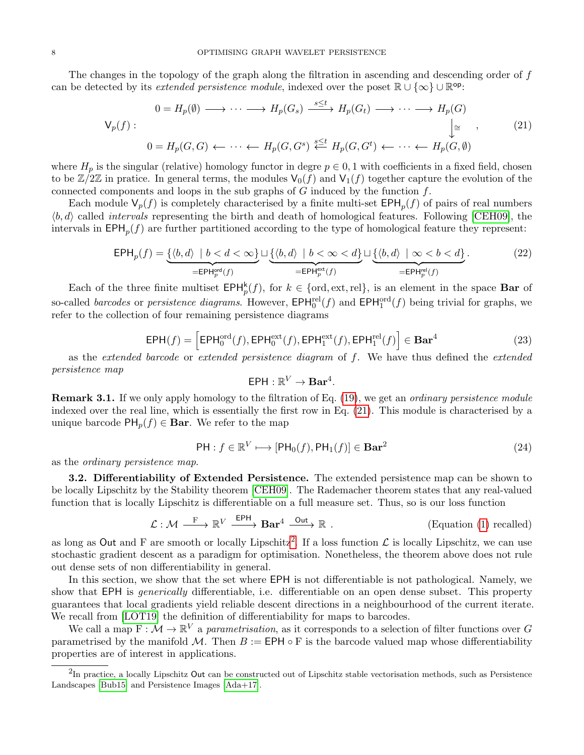The changes in the topology of the graph along the filtration in ascending and descending order of f can be detected by its *extended persistence module*, indexed over the poset  $\mathbb{R} \cup \{\infty\} \cup \mathbb{R}^{\text{op}}$ :

<span id="page-7-0"></span>
$$
0 = H_p(\emptyset) \longrightarrow \cdots \longrightarrow H_p(G_s) \xrightarrow{s \le t} H_p(G_t) \longrightarrow \cdots \longrightarrow H_p(G)
$$
  

$$
\downarrow \cong \qquad , \qquad (21)
$$
  

$$
0 = H_p(G, G) \longleftarrow \cdots \longleftarrow H_p(G, G^s) \xleftarrow{s \le t} H_p(G, G^t) \longleftarrow \cdots \longleftarrow H_p(G, \emptyset)
$$

where  $H_p$  is the singular (relative) homology functor in degre  $p \in 0, 1$  with coefficients in a fixed field, chosen to be  $\mathbb{Z}/2\mathbb{Z}$  in pratice. In general terms, the modules  $\mathsf{V}_0(f)$  and  $\mathsf{V}_1(f)$  together capture the evolution of the connected components and loops in the sub-graphs of  $G$  induced by the function  $f$ .

Each module  $\mathsf{V}_p(f)$  is completely characterised by a finite multi-set  $\mathsf{EPH}_p(f)$  of pairs of real numbers  $\langle b, d \rangle$  called *intervals* representing the birth and death of homological features. Following [\[CEH09\]](#page-13-13), the intervals in  $\text{EPH}_p(f)$  are further partitioned according to the type of homological feature they represent:

$$
\text{EPH}_p(f) = \underbrace{\{(b, d) \mid b < d < \infty\}}_{\text{=EPH}_p^{\text{ord}}(f)} \sqcup \underbrace{\{(b, d) \mid b < \infty < d\}}_{\text{=EPH}_p^{\text{ext}}(f)} \sqcup \underbrace{\{(b, d) \mid \infty < b < d\}}_{\text{=EPH}_p^{\text{rel}}(f)}.
$$
\n
$$
(22)
$$

Each of the three finite multiset  $\text{EPH}_p^k(f)$ , for  $k \in \{\text{ord}, \text{ext}, \text{rel}\}$ , is an element in the space **Bar** of so-called *barcodes* or *persistence diagrams*. However,  $\text{EPH}_0^{\text{rel}}(f)$  and  $\text{EPH}_1^{\text{ord}}(f)$  being trivial for graphs, we refer to the collection of four remaining persistence diagrams

$$
EPH(f) = \left[EPH_0^{\text{ord}}(f), EPH_0^{\text{ext}}(f), EPH_1^{\text{ext}}(f), EPH_1^{\text{rel}}(f)\right] \in Bar^4
$$
 (23)

as the extended barcode or extended persistence diagram of f. We have thus defined the extended persistence map

$$
\mathsf{EPH}:\mathbb{R}^V\to\mathbf{Bar}^4.
$$

<span id="page-7-2"></span>**Remark 3.1.** If we only apply homology to the filtration of Eq. [\(19\)](#page-6-2), we get an *ordinary persistence module* indexed over the real line, which is essentially the first row in Eq. [\(21\)](#page-7-0). This module is characterised by a unique barcode  $PH_p(f) \in \mathbf{Bar}$ . We refer to the map

$$
\mathsf{PH}: f \in \mathbb{R}^V \longmapsto [\mathsf{PH}_0(f), \mathsf{PH}_1(f)] \in \mathbf{Bar}^2 \tag{24}
$$

as the ordinary persistence map.

3.2. Differentiability of Extended Persistence. The extended persistence map can be shown to be locally Lipschitz by the Stability theorem [\[CEH09\]](#page-13-13). The Rademacher theorem states that any real-valued function that is locally Lipschitz is differentiable on a full measure set. Thus, so is our loss function

$$
\mathcal{L} : \mathcal{M} \xrightarrow{F} \mathbb{R}^V \xrightarrow{EPH} \mathbf{Bar}^4 \xrightarrow{Out} \mathbb{R} .
$$
 (Equation (1) recalled)

as long as Out and F are smooth or locally Lipschitz<sup>[2](#page-7-1)</sup>. If a loss function  $\mathcal L$  is locally Lipschitz, we can use stochastic gradient descent as a paradigm for optimisation. Nonetheless, the theorem above does not rule out dense sets of non differentiability in general.

In this section, we show that the set where EPH is not differentiable is not pathological. Namely, we show that EPH is *generically* differentiable, i.e. differentiable on an open dense subset. This property guarantees that local gradients yield reliable descent directions in a neighbourhood of the current iterate. We recall from [\[LOT19\]](#page-14-9) the definition of differentiability for maps to barcodes.

We call a map  $F: \mathcal{M} \to \mathbb{R}^V$  a parametrisation, as it corresponds to a selection of filter functions over G parametrised by the manifold M. Then  $B := \text{EPH} \circ F$  is the barcode valued map whose differentiability properties are of interest in applications.

<span id="page-7-3"></span><span id="page-7-1"></span> ${}^{2}$ In practice, a locally Lipschitz Out can be constructed out of Lipschitz stable vectorisation methods, such as Persistence Landscapes [\[Bub15\]](#page-14-13) and Persistence Images [\[Ada+17\]](#page-14-14).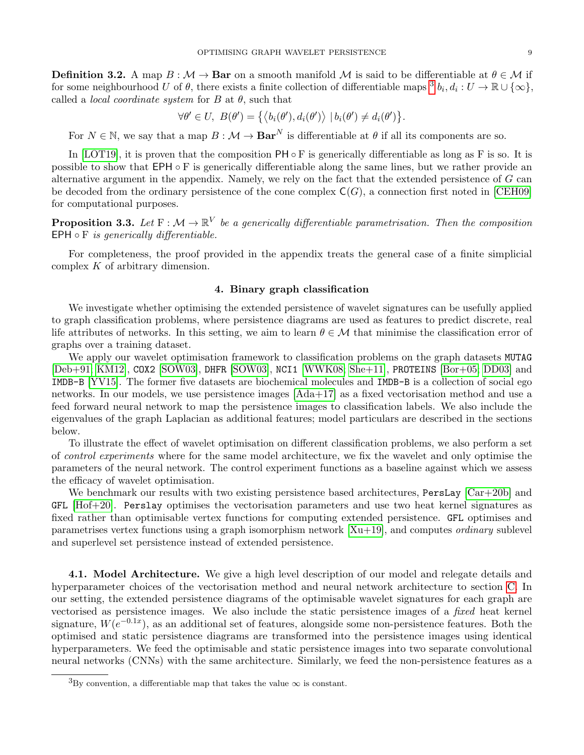**Definition 3.2.** A map  $B : \mathcal{M} \to \mathbf{Bar}$  on a smooth manifold M is said to be differentiable at  $\theta \in \mathcal{M}$  if for some neighbourhood U of  $\theta$ , there exists a finite collection of differentiable maps  ${}^3 b_i, d_i: U \to \mathbb{R} \cup \{\infty\},$  ${}^3 b_i, d_i: U \to \mathbb{R} \cup \{\infty\},$  ${}^3 b_i, d_i: U \to \mathbb{R} \cup \{\infty\},$ called a *local coordinate system* for  $B$  at  $\theta$ , such that

$$
\forall \theta' \in U, \ B(\theta') = \{ \langle b_i(\theta'), d_i(\theta') \rangle \mid b_i(\theta') \neq d_i(\theta') \}.
$$

For  $N \in \mathbb{N}$ , we say that a map  $B : \mathcal{M} \to \mathbf{Bar}^N$  is differentiable at  $\theta$  if all its components are so.

In [\[LOT19\]](#page-14-9), it is proven that the composition  $PH \circ F$  is generically differentiable as long as F is so. It is possible to show that  $EPH \circ F$  is generically differentiable along the same lines, but we rather provide an alternative argument in the appendix. Namely, we rely on the fact that the extended persistence of G can be decoded from the ordinary persistence of the cone complex  $C(G)$ , a connection first noted in [\[CEH09\]](#page-13-13) for computational purposes.

<span id="page-8-0"></span>**Proposition 3.3.** Let  $F : \mathcal{M} \to \mathbb{R}^V$  be a generically differentiable parametrisation. Then the composition EPH  $\circ$  F *is generically differentiable.* 

For completeness, the proof provided in the appendix treats the general case of a finite simplicial complex K of arbitrary dimension.

# 4. Binary graph classification

<span id="page-8-1"></span>We investigate whether optimising the extended persistence of wavelet signatures can be usefully applied to graph classification problems, where persistence diagrams are used as features to predict discrete, real life attributes of networks. In this setting, we aim to learn  $\theta \in \mathcal{M}$  that minimise the classification error of graphs over a training dataset.

We apply our wavelet optimisation framework to classification problems on the graph datasets MUTAG [\[Deb+91;](#page-12-5) [KM12\]](#page-13-14), COX2 [\[SOW03\]](#page-13-15), DHFR [\[SOW03\]](#page-13-15), NCI1 [\[WWK08;](#page-13-16) [She+11\]](#page-13-17), PROTEINS [\[Bor+05;](#page-13-18) [DD03\]](#page-13-19) and IMDB-B [\[YV15\]](#page-14-15). The former five datasets are biochemical molecules and IMDB-B is a collection of social ego networks. In our models, we use persistence images [\[Ada+17\]](#page-14-14) as a fixed vectorisation method and use a feed forward neural network to map the persistence images to classification labels. We also include the eigenvalues of the graph Laplacian as additional features; model particulars are described in the sections below.

To illustrate the effect of wavelet optimisation on different classification problems, we also perform a set of control experiments where for the same model architecture, we fix the wavelet and only optimise the parameters of the neural network. The control experiment functions as a baseline against which we assess the efficacy of wavelet optimisation.

We benchmark our results with two existing persistence based architectures, PersLay [\[Car+20b\]](#page-15-1) and GFL [\[Hof+20\]](#page-15-11). Perslay optimises the vectorisation parameters and use two heat kernel signatures as fixed rather than optimisable vertex functions for computing extended persistence. GFL optimises and parametrises vertex functions using a graph isomorphism network  $[Xu+19]$ , and computes *ordinary* sublevel and superlevel set persistence instead of extended persistence.

4.1. Model Architecture. We give a high level description of our model and relegate details and hyperparameter choices of the vectorisation method and neural network architecture to section [C.](#page-20-1) In our setting, the extended persistence diagrams of the optimisable wavelet signatures for each graph are vectorised as persistence images. We also include the static persistence images of a fixed heat kernel signature,  $W(e^{-0.1x})$ , as an additional set of features, alongside some non-persistence features. Both the optimised and static persistence diagrams are transformed into the persistence images using identical hyperparameters. We feed the optimisable and static persistence images into two separate convolutional neural networks (CNNs) with the same architecture. Similarly, we feed the non-persistence features as a

<span id="page-8-2"></span> ${}^{3}_{\text{By}}$  convention, a differentiable map that takes the value  $\infty$  is constant.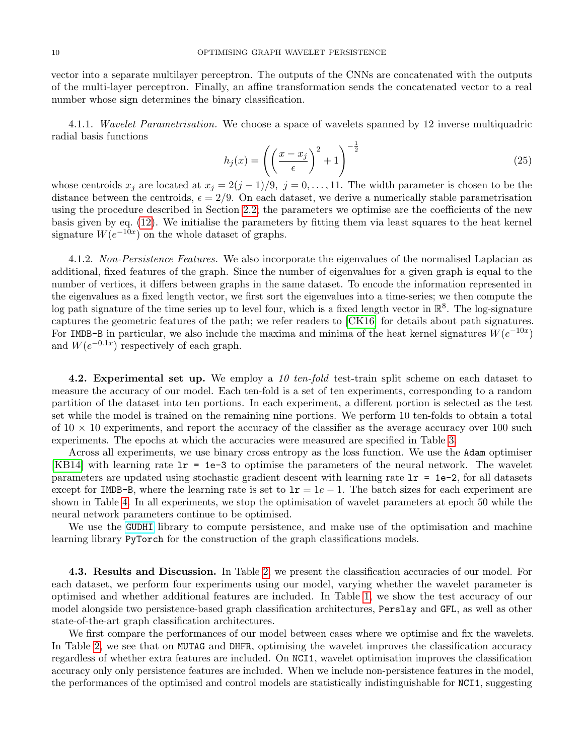vector into a separate multilayer perceptron. The outputs of the CNNs are concatenated with the outputs of the multi-layer perceptron. Finally, an affine transformation sends the concatenated vector to a real number whose sign determines the binary classification.

4.1.1. Wavelet Parametrisation. We choose a space of wavelets spanned by 12 inverse multiquadric radial basis functions

<span id="page-9-1"></span>
$$
h_j(x) = \left( \left( \frac{x - x_j}{\epsilon} \right)^2 + 1 \right)^{-\frac{1}{2}} \tag{25}
$$

whose centroids  $x_j$  are located at  $x_j = 2(j-1)/9$ ,  $j = 0, \ldots, 11$ . The width parameter is chosen to be the distance between the centroids,  $\epsilon = 2/9$ . On each dataset, we derive a numerically stable parametrisation using the procedure described in Section [2.2;](#page-4-0) the parameters we optimise are the coefficients of the new basis given by eq. [\(12\)](#page-5-3). We initialise the parameters by fitting them via least squares to the heat kernel signature  $W(e^{-10x})$  on the whole dataset of graphs.

<span id="page-9-0"></span>4.1.2. Non-Persistence Features. We also incorporate the eigenvalues of the normalised Laplacian as additional, fixed features of the graph. Since the number of eigenvalues for a given graph is equal to the number of vertices, it differs between graphs in the same dataset. To encode the information represented in the eigenvalues as a fixed length vector, we first sort the eigenvalues into a time-series; we then compute the log path signature of the time series up to level four, which is a fixed length vector in  $\mathbb{R}^8$ . The log-signature captures the geometric features of the path; we refer readers to [\[CK16\]](#page-14-16) for details about path signatures. For IMDB-B in particular, we also include the maxima and minima of the heat kernel signatures  $W(e^{-10x})$ and  $W(e^{-0.1x})$  respectively of each graph.

4.2. Experimental set up. We employ a 10 ten-fold test-train split scheme on each dataset to measure the accuracy of our model. Each ten-fold is a set of ten experiments, corresponding to a random partition of the dataset into ten portions. In each experiment, a different portion is selected as the test set while the model is trained on the remaining nine portions. We perform 10 ten-folds to obtain a total of  $10 \times 10$  experiments, and report the accuracy of the classifier as the average accuracy over 100 such experiments. The epochs at which the accuracies were measured are specified in Table [3.](#page-12-6)

Across all experiments, we use binary cross entropy as the loss function. We use the Adam optimiser [\[KB14\]](#page-14-17) with learning rate lr = 1e-3 to optimise the parameters of the neural network. The wavelet parameters are updated using stochastic gradient descent with learning rate  $1r = 1e-2$ , for all datasets except for IMDB-B, where the learning rate is set to  $1r = 1e - 1$ . The batch sizes for each experiment are shown in Table [4.](#page-12-7) In all experiments, we stop the optimisation of wavelet parameters at epoch 50 while the neural network parameters continue to be optimised.

We use the [GUDHI](https://gudhi.inria.fr) library to compute persistence, and make use of the optimisation and machine learning library PyTorch for the construction of the graph classifications models.

4.3. Results and Discussion. In Table [2,](#page-12-8) we present the classification accuracies of our model. For each dataset, we perform four experiments using our model, varying whether the wavelet parameter is optimised and whether additional features are included. In Table [1,](#page-11-0) we show the test accuracy of our model alongside two persistence-based graph classification architectures, Perslay and GFL, as well as other state-of-the-art graph classification architectures.

We first compare the performances of our model between cases where we optimise and fix the wavelets. In Table [2,](#page-12-8) we see that on MUTAG and DHFR, optimising the wavelet improves the classification accuracy regardless of whether extra features are included. On NCI1, wavelet optimisation improves the classification accuracy only only persistence features are included. When we include non-persistence features in the model, the performances of the optimised and control models are statistically indistinguishable for NCI1, suggesting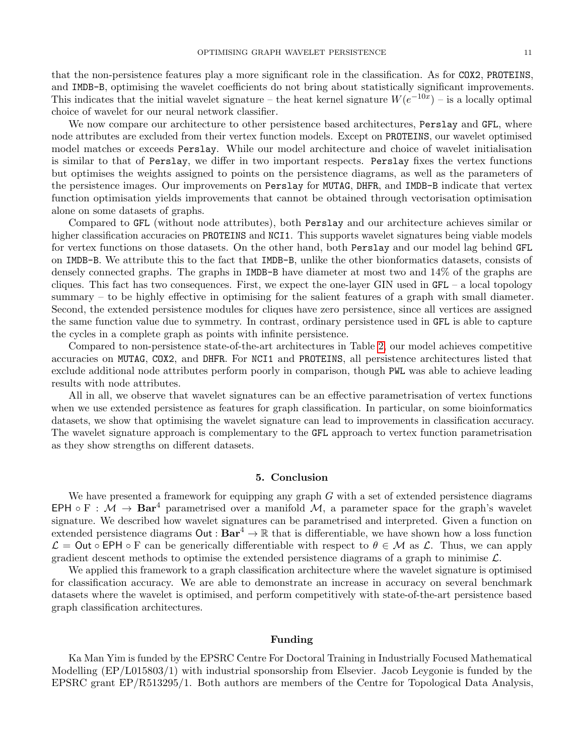that the non-persistence features play a more significant role in the classification. As for COX2, PROTEINS, and IMDB-B, optimising the wavelet coefficients do not bring about statistically significant improvements. This indicates that the initial wavelet signature – the heat kernel signature  $W(e^{-10x})$  – is a locally optimal choice of wavelet for our neural network classifier.

We now compare our architecture to other persistence based architectures, Perslay and GFL, where node attributes are excluded from their vertex function models. Except on PROTEINS, our wavelet optimised model matches or exceeds Perslay. While our model architecture and choice of wavelet initialisation is similar to that of Perslay, we differ in two important respects. Perslay fixes the vertex functions but optimises the weights assigned to points on the persistence diagrams, as well as the parameters of the persistence images. Our improvements on Perslay for MUTAG, DHFR, and IMDB-B indicate that vertex function optimisation yields improvements that cannot be obtained through vectorisation optimisation alone on some datasets of graphs.

Compared to GFL (without node attributes), both Perslay and our architecture achieves similar or higher classification accuracies on PROTEINS and NCI1. This supports wavelet signatures being viable models for vertex functions on those datasets. On the other hand, both Perslay and our model lag behind GFL on IMDB-B. We attribute this to the fact that IMDB-B, unlike the other bionformatics datasets, consists of densely connected graphs. The graphs in IMDB-B have diameter at most two and 14% of the graphs are cliques. This fact has two consequences. First, we expect the one-layer GIN used in  $GFL - a$  local topology summary – to be highly effective in optimising for the salient features of a graph with small diameter. Second, the extended persistence modules for cliques have zero persistence, since all vertices are assigned the same function value due to symmetry. In contrast, ordinary persistence used in GFL is able to capture the cycles in a complete graph as points with infinite persistence.

Compared to non-persistence state-of-the-art architectures in Table [2,](#page-12-8) our model achieves competitive accuracies on MUTAG, COX2, and DHFR. For NCI1 and PROTEINS, all persistence architectures listed that exclude additional node attributes perform poorly in comparison, though PWL was able to achieve leading results with node attributes.

All in all, we observe that wavelet signatures can be an effective parametrisation of vertex functions when we use extended persistence as features for graph classification. In particular, on some bioinformatics datasets, we show that optimising the wavelet signature can lead to improvements in classification accuracy. The wavelet signature approach is complementary to the GFL approach to vertex function parametrisation as they show strengths on different datasets.

#### 5. Conclusion

We have presented a framework for equipping any graph  $G$  with a set of extended persistence diagrams EPH  $\circ$  F :  $\mathcal{M} \to \mathbf{Bar}^4$  parametrised over a manifold  $\mathcal{M}$ , a parameter space for the graph's wavelet signature. We described how wavelet signatures can be parametrised and interpreted. Given a function on extended persistence diagrams  $Out : Bar^4 \to \mathbb{R}$  that is differentiable, we have shown how a loss function  $\mathcal{L} = \mathsf{Out} \circ \mathsf{E} \mathsf{P} \mathsf{H} \circ \mathsf{F}$  can be generically differentiable with respect to  $\theta \in \mathcal{M}$  as  $\mathcal{L}$ . Thus, we can apply gradient descent methods to optimise the extended persistence diagrams of a graph to minimise  $\mathcal{L}$ .

We applied this framework to a graph classification architecture where the wavelet signature is optimised for classification accuracy. We are able to demonstrate an increase in accuracy on several benchmark datasets where the wavelet is optimised, and perform competitively with state-of-the-art persistence based graph classification architectures.

## Funding

Ka Man Yim is funded by the EPSRC Centre For Doctoral Training in Industrially Focused Mathematical Modelling (EP/L015803/1) with industrial sponsorship from Elsevier. Jacob Leygonie is funded by the EPSRC grant EP/R513295/1. Both authors are members of the Centre for Topological Data Analysis,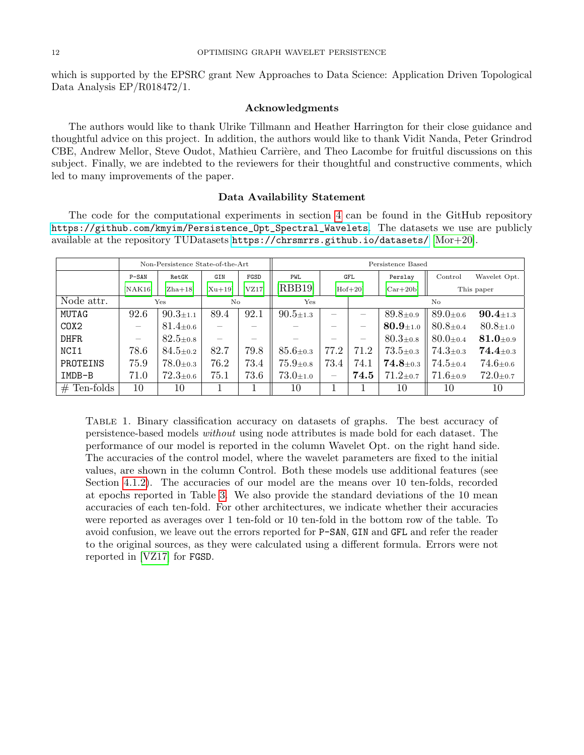which is supported by the EPSRC grant New Approaches to Data Science: Application Driven Topological Data Analysis EP/R018472/1.

## Acknowledgments

The authors would like to thank Ulrike Tillmann and Heather Harrington for their close guidance and thoughtful advice on this project. In addition, the authors would like to thank Vidit Nanda, Peter Grindrod CBE, Andrew Mellor, Steve Oudot, Mathieu Carrière, and Theo Lacombe for fruitful discussions on this subject. Finally, we are indebted to the reviewers for their thoughtful and constructive comments, which led to many improvements of the paper.

### Data Availability Statement

The code for the computational experiments in section [4](#page-8-1) can be found in the GitHub repository [https://github.com/kmyim/Persistence\\_Opt\\_Spectral\\_Wavelets](https://github.com/kmyim/Persistence_Opt_Spectral_Wavelets). The datasets we use are publicly available at the repository TUDatasets <https://chrsmrrs.github.io/datasets/> [\[Mor+20\]](#page-15-12).

<span id="page-11-0"></span>

|                | Non-Persistence State-of-the-Art |                             |                                 |        | Persistence Based            |                          |            |                             |                             |                              |
|----------------|----------------------------------|-----------------------------|---------------------------------|--------|------------------------------|--------------------------|------------|-----------------------------|-----------------------------|------------------------------|
|                | $P-SAN$                          | RetGK                       | GIN                             | FGSD   | <b>PWL</b>                   |                          | <b>GFL</b> | Perslay                     | Control                     | Wavelet Opt.                 |
|                | [NAK16]                          | $[Zha+18]$                  | $[Xu+19]$                       | [VZ17] | $[{\rm RBB19}]$              | $[Hof+20]$               |            | $[Car+20b]$                 | This paper                  |                              |
| Node attr.     | Yes                              |                             | No                              |        | Yes                          |                          | No         |                             |                             |                              |
| MUTAG          | 92.6                             | $90.3 \pm 1.1$              | 89.4                            | 92.1   | $90.5 \pm 1.3$               |                          |            | $89.8{\scriptstyle \pm0.9}$ | $89.0{\scriptstyle \pm0.6}$ | $90.4 \scriptstyle{\pm 1.3}$ |
| COX2           | $\overline{\phantom{m}}$         | $81.4{\scriptstyle \pm0.6}$ |                                 |        |                              |                          |            | $80.9{\scriptstyle \pm1.0}$ | $80.8{\scriptstyle \pm0.4}$ | $80.8{\scriptstyle \pm1.0}$  |
| DHFR           | $\hspace{0.05cm}$                | $82.5{\scriptstyle \pm0.8}$ | $\hspace{0.1mm}-\hspace{0.1mm}$ |        |                              |                          |            | $80.3{\scriptstyle \pm0.8}$ | $80.0 \pm 0.4$              | $81.0{\scriptstyle \pm0.9}$  |
| NCI1           | 78.6                             | $84.5 \pm 0.2$              | 82.7                            | 79.8   | $85.6{\scriptstyle \pm0.3}$  | 77.2                     | 71.2       | $73.5{\scriptstyle \pm0.3}$ | $74.3{\scriptstyle \pm0.3}$ | $74.4 \scriptstyle{\pm 0.3}$ |
| PROTEINS       | 75.9                             | $78.0{\scriptstyle \pm0.3}$ | 76.2                            | 73.4   | $75.9{\scriptstyle \pm 0.8}$ | 73.4                     | 74.1       | $\textbf{74.8}_{\pm0.3}$    | $74.5{\scriptstyle \pm0.4}$ | $74.6{\scriptstyle \pm0.6}$  |
| IMDB-B         | 71.0                             | $72.3{\scriptstyle \pm0.6}$ | 75.1                            | 73.6   | $73.0{\scriptstyle \pm1.0}$  | $\overline{\phantom{m}}$ | 74.5       | $71.2 \pm 0.7$              | $71.6{\scriptstyle \pm0.9}$ | $72.0 \pm 0.7$               |
| Ten-folds<br># | 10                               | 10                          |                                 |        | 10                           |                          |            | 10                          | 10                          | 10                           |

Table 1. Binary classification accuracy on datasets of graphs. The best accuracy of persistence-based models without using node attributes is made bold for each dataset. The performance of our model is reported in the column Wavelet Opt. on the right hand side. The accuracies of the control model, where the wavelet parameters are fixed to the initial values, are shown in the column Control. Both these models use additional features (see Section [4.1.2\)](#page-9-0). The accuracies of our model are the means over 10 ten-folds, recorded at epochs reported in Table [3.](#page-12-6) We also provide the standard deviations of the 10 mean accuracies of each ten-fold. For other architectures, we indicate whether their accuracies were reported as averages over 1 ten-fold or 10 ten-fold in the bottom row of the table. To avoid confusion, we leave out the errors reported for P-SAN, GIN and GFL and refer the reader to the original sources, as they were calculated using a different formula. Errors were not reported in [\[VZ17\]](#page-14-20) for FGSD.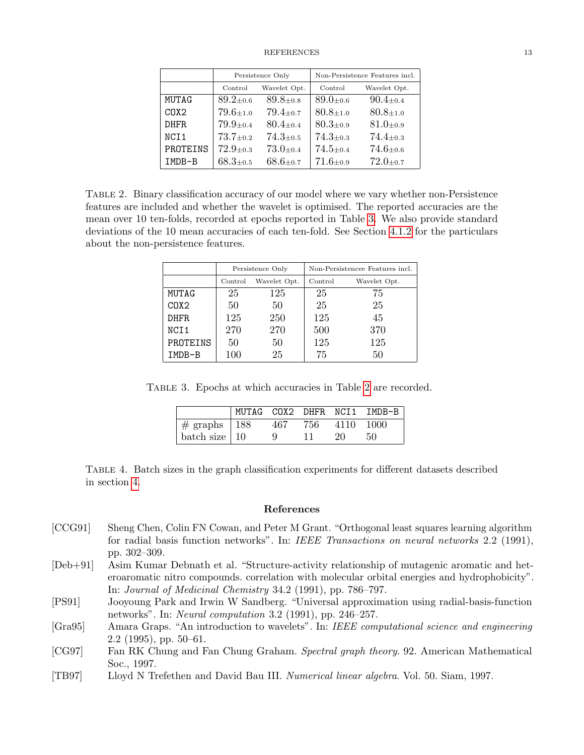<span id="page-12-8"></span>

|                               |                             | Persistence Only             | Non-Persistence Features incl. |                             |  |
|-------------------------------|-----------------------------|------------------------------|--------------------------------|-----------------------------|--|
|                               | Control                     | Wavelet Opt.                 | Control                        | Wavelet Opt.                |  |
| MUTAG                         | $89.2 + 0.6$                | $89.8 + 0.8$                 | $89.0 + 0.6$                   | $90.4 + 0.4$                |  |
| C <sub>0</sub> X <sub>2</sub> | $79.6 + 1.0$                | $79.4 + 0.7$                 | $80.8 + 1.0$                   | $80.8 + 1.0$                |  |
| DHFR.                         | $79.9 + 0.4$                | $80.4 + 0.4$                 | $80.3{\scriptstyle \pm0.9}$    | $81.0 + 0.9$                |  |
| NCI1                          | $73.7 + 0.2$                | $74.3 + 0.5$                 | $74.3{\scriptstyle \pm0.3}$    | $74.4{\scriptstyle \pm0.3}$ |  |
| PROTEINS                      | $72.9 + 0.3$                | $73.0 + 0.4$                 | $74.5 + 0.4$                   | $74.6 + 0.6$                |  |
| IMDB-B                        | $68.3{\scriptstyle \pm0.5}$ | $68.6{\scriptstyle \pm 0.7}$ | $71.6 + 0.9$                   | $72.0 + 0.7$                |  |

<span id="page-12-6"></span>Table 2. Binary classification accuracy of our model where we vary whether non-Persistence features are included and whether the wavelet is optimised. The reported accuracies are the mean over 10 ten-folds, recorded at epochs reported in Table [3.](#page-12-6) We also provide standard deviations of the 10 mean accuracies of each ten-fold. See Section [4.1.2](#page-9-0) for the particulars about the non-persistence features.

|          |         | Persistence Only | Non-Persistencee Features incl. |              |  |
|----------|---------|------------------|---------------------------------|--------------|--|
|          | Control | Wavelet Opt.     | Control                         | Wavelet Opt. |  |
| MUTAG    | 25      | 125              | 25                              | 75           |  |
| COX2     | 50      | 50               | 25                              | 25           |  |
| DHFR.    | 125     | 250              | 125                             | 45           |  |
| NCI1     | 270     | 270              | 500                             | 370          |  |
| PROTEINS | 50      | 50               | 125                             | 125          |  |
| IMDB-B   | 100     | 25               | 75                              | 50           |  |

Table 3. Epochs at which accuracies in Table [2](#page-12-8) are recorded.

|                                        |     |     |      | MUTAG COX2 DHFR NCI1 IMDB-B |
|----------------------------------------|-----|-----|------|-----------------------------|
| $\frac{4}{5}$ # graphs $\frac{188}{5}$ | 467 | 756 | 4110 | 1000                        |
| batch size   $10$                      |     |     | 20   | 50                          |

<span id="page-12-7"></span>Table 4. Batch sizes in the graph classification experiments for different datasets described in section [4.](#page-8-1)

# References

- <span id="page-12-3"></span>[CCG91] Sheng Chen, Colin FN Cowan, and Peter M Grant. "Orthogonal least squares learning algorithm for radial basis function networks". In: IEEE Transactions on neural networks 2.2 (1991), pp. 302–309.
- <span id="page-12-5"></span>[Deb+91] Asim Kumar Debnath et al. "Structure-activity relationship of mutagenic aromatic and heteroaromatic nitro compounds. correlation with molecular orbital energies and hydrophobicity". In: Journal of Medicinal Chemistry 34.2 (1991), pp. 786–797.
- <span id="page-12-4"></span>[PS91] Jooyoung Park and Irwin W Sandberg. "Universal approximation using radial-basis-function networks". In: Neural computation 3.2 (1991), pp. 246–257.
- <span id="page-12-0"></span>[Gra95] Amara Graps. "An introduction to wavelets". In: IEEE computational science and engineering 2.2 (1995), pp. 50–61.
- <span id="page-12-1"></span>[CG97] Fan RK Chung and Fan Chung Graham. Spectral graph theory. 92. American Mathematical Soc., 1997.
- <span id="page-12-2"></span>[TB97] Lloyd N Trefethen and David Bau III. Numerical linear algebra. Vol. 50. Siam, 1997.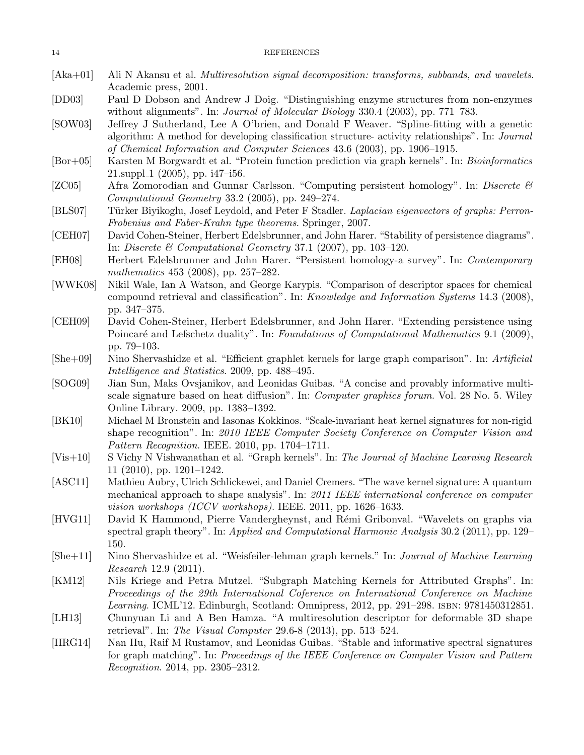<span id="page-13-19"></span><span id="page-13-18"></span><span id="page-13-16"></span><span id="page-13-15"></span><span id="page-13-13"></span><span id="page-13-12"></span><span id="page-13-11"></span><span id="page-13-6"></span><span id="page-13-3"></span><span id="page-13-2"></span>

| $[Aka+01]$ | Ali N Akansu et al. Multiresolution signal decomposition: transforms, subbands, and wavelets.<br>Academic press, 2001.                                                                        |
|------------|-----------------------------------------------------------------------------------------------------------------------------------------------------------------------------------------------|
| [DD03]     | Paul D Dobson and Andrew J Doig. "Distinguishing enzyme structures from non-enzymes"                                                                                                          |
|            | without alignments". In: Journal of Molecular Biology 330.4 (2003), pp. 771-783.                                                                                                              |
| [SOW03]    | Jeffrey J Sutherland, Lee A O'brien, and Donald F Weaver. "Spline-fitting with a genetic<br>algorithm: A method for developing classification structure- activity relationships". In: Journal |
|            | of Chemical Information and Computer Sciences 43.6 (2003), pp. 1906–1915.                                                                                                                     |
| $[Bor+05]$ | Karsten M Borgwardt et al. "Protein function prediction via graph kernels". In: <i>Bioinformatics</i>                                                                                         |
|            | $21.\text{suppl}_1$ (2005), pp. i47-i56.                                                                                                                                                      |
| [ZCO5]     | Afra Zomorodian and Gunnar Carlsson. "Computing persistent homology". In: Discrete $\mathcal{C}$                                                                                              |
|            | Computational Geometry 33.2 (2005), pp. 249-274.                                                                                                                                              |
| [BLS07]    | Türker Biyikoglu, Josef Leydold, and Peter F Stadler. Laplacian eigenvectors of graphs: Perron-                                                                                               |
|            | Frobenius and Faber-Krahn type theorems. Springer, 2007.                                                                                                                                      |
| [CEH07]    | David Cohen-Steiner, Herbert Edelsbrunner, and John Harer. "Stability of persistence diagrams".                                                                                               |
|            | In: Discrete & Computational Geometry 37.1 (2007), pp. 103-120.                                                                                                                               |
| [EH08]     | Herbert Edelsbrunner and John Harer. "Persistent homology-a survey". In: Contemporary                                                                                                         |
|            | mathematics $453$ (2008), pp. 257–282.                                                                                                                                                        |
| [WWK08]    | Nikil Wale, Ian A Watson, and George Karypis. "Comparison of descriptor spaces for chemical                                                                                                   |
|            | compound retrieval and classification". In: <i>Knowledge and Information Systems</i> 14.3 (2008),                                                                                             |
|            | pp. 347-375.                                                                                                                                                                                  |
| [CEH09]    | David Cohen-Steiner, Herbert Edelsbrunner, and John Harer. "Extending persistence using                                                                                                       |
|            | Poincaré and Lefschetz duality". In: Foundations of Computational Mathematics 9.1 (2009),                                                                                                     |
|            | pp. 79–103.                                                                                                                                                                                   |
| $[She+09]$ | Nino Shervashidze et al. "Efficient graphlet kernels for large graph comparison". In: Artificial                                                                                              |
|            | Intelligence and Statistics. 2009, pp. 488-495.                                                                                                                                               |
| [SOG09]    | Jian Sun, Maks Ovsjanikov, and Leonidas Guibas. "A concise and provably informative multi-                                                                                                    |
|            | scale signature based on heat diffusion". In: <i>Computer graphics forum</i> . Vol. 28 No. 5. Wiley                                                                                           |
|            | Online Library. 2009, pp. 1383-1392.                                                                                                                                                          |
| [BK10]     | Michael M Bronstein and Iasonas Kokkinos. "Scale-invariant heat kernel signatures for non-rigid                                                                                               |
|            | shape recognition". In: 2010 IEEE Computer Society Conference on Computer Vision and                                                                                                          |
|            | Pattern Recognition. IEEE. 2010, pp. 1704-1711.                                                                                                                                               |
| $[Vis+10]$ | S Vichy N Vishwanathan et al. "Graph kernels". In: The Journal of Machine Learning Research                                                                                                   |
|            | $11$ (2010), pp. 1201–1242.                                                                                                                                                                   |
| [ASCII]    | Mathieu Aubry, Ulrich Schlickewei, and Daniel Cremers. "The wave kernel signature: A quantum                                                                                                  |
|            | mechanical approach to shape analysis". In: 2011 IEEE international conference on computer                                                                                                    |
|            | <i>vision workshops (ICCV workshops)</i> . IEEE. 2011, pp. $1626-1633$ .                                                                                                                      |
| [HVG11]    | David K Hammond, Pierre Vandergheynst, and Rémi Gribonval. "Wavelets on graphs via                                                                                                            |
|            | spectral graph theory". In: Applied and Computational Harmonic Analysis 30.2 (2011), pp. 129–                                                                                                 |
|            | 150.                                                                                                                                                                                          |
| $[She+11]$ | Nino Shervashidze et al. "Weisfeiler-lehman graph kernels." In: Journal of Machine Learning                                                                                                   |
|            | <i>Research</i> 12.9 $(2011)$ .                                                                                                                                                               |

- <span id="page-13-17"></span><span id="page-13-14"></span><span id="page-13-9"></span><span id="page-13-8"></span><span id="page-13-7"></span><span id="page-13-5"></span><span id="page-13-1"></span><span id="page-13-0"></span>[KM12] Nils Kriege and Petra Mutzel. "Subgraph Matching Kernels for Attributed Graphs". In: Proceedings of the 29th International Coference on International Conference on Machine Learning. ICML'12. Edinburgh, Scotland: Omnipress, 2012, pp. 291–298. isbn: 9781450312851.
- <span id="page-13-4"></span>[LH13] Chunyuan Li and A Ben Hamza. "A multiresolution descriptor for deformable 3D shape retrieval". In: The Visual Computer 29.6-8 (2013), pp. 513–524.
- <span id="page-13-10"></span>[HRG14] Nan Hu, Raif M Rustamov, and Leonidas Guibas. "Stable and informative spectral signatures for graph matching". In: Proceedings of the IEEE Conference on Computer Vision and Pattern Recognition. 2014, pp. 2305–2312.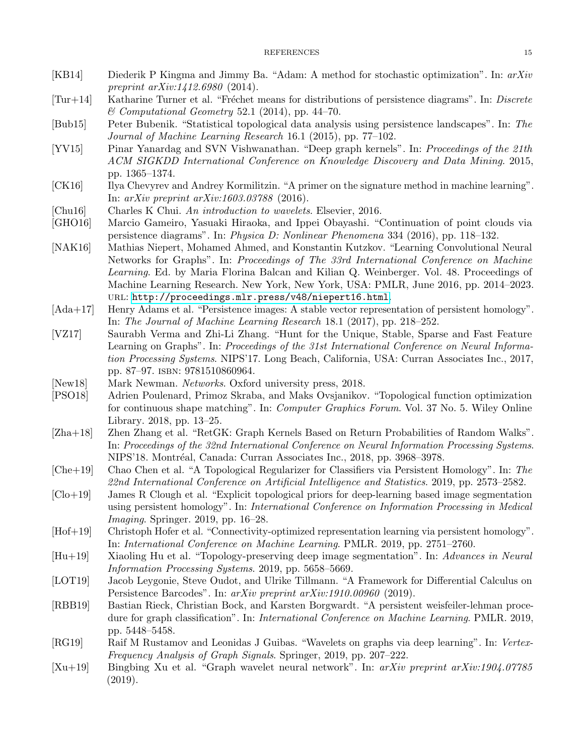- <span id="page-14-17"></span>[KB14] Diederik P Kingma and Jimmy Ba. "Adam: A method for stochastic optimization". In: arXiv preprint arXiv:1412.6980 (2014).
- <span id="page-14-2"></span> $[Tur+14]$  Katharine Turner et al. "Fréchet means for distributions of persistence diagrams". In: Discrete  $\mathscr{\mathscr{C}}$  Computational Geometry 52.1 (2014), pp. 44–70.
- <span id="page-14-13"></span>[Bub15] Peter Bubenik. "Statistical topological data analysis using persistence landscapes". In: The Journal of Machine Learning Research 16.1 (2015), pp. 77–102.
- <span id="page-14-15"></span>[YV15] Pinar Yanardag and SVN Vishwanathan. "Deep graph kernels". In: Proceedings of the 21th ACM SIGKDD International Conference on Knowledge Discovery and Data Mining. 2015, pp. 1365–1374.
- <span id="page-14-16"></span>[CK16] Ilya Chevyrev and Andrey Kormilitzin. "A primer on the signature method in machine learning". In: arXiv preprint arXiv:1603.03788 (2016).
- <span id="page-14-11"></span>[Chu16] Charles K Chui. An introduction to wavelets. Elsevier, 2016.
- <span id="page-14-3"></span>[GHO16] Marcio Gameiro, Yasuaki Hiraoka, and Ippei Obayashi. "Continuation of point clouds via persistence diagrams". In: Physica D: Nonlinear Phenomena 334 (2016), pp. 118–132.
- <span id="page-14-18"></span>[NAK16] Mathias Niepert, Mohamed Ahmed, and Konstantin Kutzkov. "Learning Convolutional Neural Networks for Graphs". In: Proceedings of The 33rd International Conference on Machine Learning. Ed. by Maria Florina Balcan and Kilian Q. Weinberger. Vol. 48. Proceedings of Machine Learning Research. New York, New York, USA: PMLR, June 2016, pp. 2014–2023. url: <http://proceedings.mlr.press/v48/niepert16.html>.
- <span id="page-14-14"></span>[Ada+17] Henry Adams et al. "Persistence images: A stable vector representation of persistent homology". In: The Journal of Machine Learning Research 18.1 (2017), pp. 218–252.
- <span id="page-14-20"></span>[VZ17] Saurabh Verma and Zhi-Li Zhang. "Hunt for the Unique, Stable, Sparse and Fast Feature Learning on Graphs". In: Proceedings of the 31st International Conference on Neural Information Processing Systems. NIPS'17. Long Beach, California, USA: Curran Associates Inc., 2017, pp. 87–97. isbn: 9781510860964.
- <span id="page-14-12"></span>[New18] Mark Newman. Networks. Oxford university press, 2018.
- <span id="page-14-4"></span>[PSO18] Adrien Poulenard, Primoz Skraba, and Maks Ovsjanikov. "Topological function optimization for continuous shape matching". In: Computer Graphics Forum. Vol. 37 No. 5. Wiley Online Library. 2018, pp. 13–25.
- <span id="page-14-19"></span>[Zha+18] Zhen Zhang et al. "RetGK: Graph Kernels Based on Return Probabilities of Random Walks". In: Proceedings of the 32nd International Conference on Neural Information Processing Systems. NIPS'18. Montréal, Canada: Curran Associates Inc., 2018, pp. 3968–3978.
- <span id="page-14-8"></span>[Che+19] Chao Chen et al. "A Topological Regularizer for Classifiers via Persistent Homology". In: The 22nd International Conference on Artificial Intelligence and Statistics. 2019, pp. 2573–2582.
- <span id="page-14-7"></span>[Clo+19] James R Clough et al. "Explicit topological priors for deep-learning based image segmentation using persistent homology". In: International Conference on Information Processing in Medical Imaging. Springer. 2019, pp. 16–28.
- <span id="page-14-5"></span>[Hof+19] Christoph Hofer et al. "Connectivity-optimized representation learning via persistent homology". In: International Conference on Machine Learning. PMLR. 2019, pp. 2751–2760.
- <span id="page-14-6"></span>[Hu+19] Xiaoling Hu et al. "Topology-preserving deep image segmentation". In: Advances in Neural Information Processing Systems. 2019, pp. 5658–5669.
- <span id="page-14-9"></span>[LOT19] Jacob Leygonie, Steve Oudot, and Ulrike Tillmann. "A Framework for Differential Calculus on Persistence Barcodes". In: arXiv preprint arXiv:1910.00960 (2019).
- <span id="page-14-1"></span>[RBB19] Bastian Rieck, Christian Bock, and Karsten Borgwardt. "A persistent weisfeiler-lehman procedure for graph classification". In: International Conference on Machine Learning. PMLR. 2019, pp. 5448–5458.
- <span id="page-14-10"></span>[RG19] Raif M Rustamov and Leonidas J Guibas. "Wavelets on graphs via deep learning". In: Vertex-Frequency Analysis of Graph Signals. Springer, 2019, pp. 207–222.
- <span id="page-14-0"></span>[Xu+19] Bingbing Xu et al. "Graph wavelet neural network". In: arXiv preprint arXiv:1904.07785 (2019).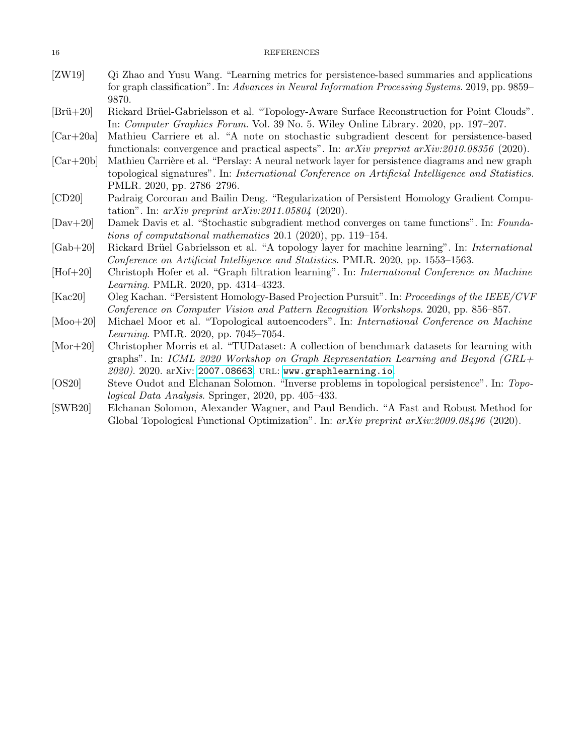- <span id="page-15-0"></span>[ZW19] Qi Zhao and Yusu Wang. "Learning metrics for persistence-based summaries and applications for graph classification". In: Advances in Neural Information Processing Systems. 2019, pp. 9859– 9870.
- <span id="page-15-3"></span>[Brü+20] Rickard Brüel-Gabrielsson et al. "Topology-Aware Surface Reconstruction for Point Clouds". In: Computer Graphics Forum. Vol. 39 No. 5. Wiley Online Library. 2020, pp. 197–207.
- <span id="page-15-7"></span>[Car+20a] Mathieu Carriere et al. "A note on stochastic subgradient descent for persistence-based functionals: convergence and practical aspects". In:  $arXiv$  preprint  $arXiv:2010.08356$  (2020).
- <span id="page-15-1"></span> $[Car+20b]$  Mathieu Carrière et al. "Perslay: A neural network layer for persistence diagrams and new graph topological signatures". In: International Conference on Artificial Intelligence and Statistics. PMLR. 2020, pp. 2786–2796.
- <span id="page-15-10"></span>[CD20] Padraig Corcoran and Bailin Deng. "Regularization of Persistent Homology Gradient Computation". In:  $arXiv$  preprint  $arXiv:2011.05804$  (2020).
- <span id="page-15-8"></span>[Dav+20] Damek Davis et al. "Stochastic subgradient method converges on tame functions". In: Foundations of computational mathematics 20.1 (2020), pp. 119–154.
- <span id="page-15-5"></span>[Gab+20] Rickard Brüel Gabrielsson et al. "A topology layer for machine learning". In: International Conference on Artificial Intelligence and Statistics. PMLR. 2020, pp. 1553–1563.
- <span id="page-15-11"></span>[Hof+20] Christoph Hofer et al. "Graph filtration learning". In: International Conference on Machine Learning. PMLR. 2020, pp. 4314–4323.
- <span id="page-15-6"></span>[Kac20] Oleg Kachan. "Persistent Homology-Based Projection Pursuit". In: Proceedings of the IEEE/CVF Conference on Computer Vision and Pattern Recognition Workshops. 2020, pp. 856–857.
- <span id="page-15-4"></span>[Moo+20] Michael Moor et al. "Topological autoencoders". In: International Conference on Machine Learning. PMLR. 2020, pp. 7045–7054.
- <span id="page-15-12"></span>[Mor+20] Christopher Morris et al. "TUDataset: A collection of benchmark datasets for learning with graphs". In: ICML 2020 Workshop on Graph Representation Learning and Beyond (GRL+ 2020). 2020. arXiv: [2007.08663](https://arxiv.org/abs/2007.08663). url: <www.graphlearning.io>.
- <span id="page-15-2"></span>[OS20] Steve Oudot and Elchanan Solomon. "Inverse problems in topological persistence". In: Topological Data Analysis. Springer, 2020, pp. 405–433.
- <span id="page-15-9"></span>[SWB20] Elchanan Solomon, Alexander Wagner, and Paul Bendich. "A Fast and Robust Method for Global Topological Functional Optimization". In: arXiv preprint arXiv:2009.08496 (2020).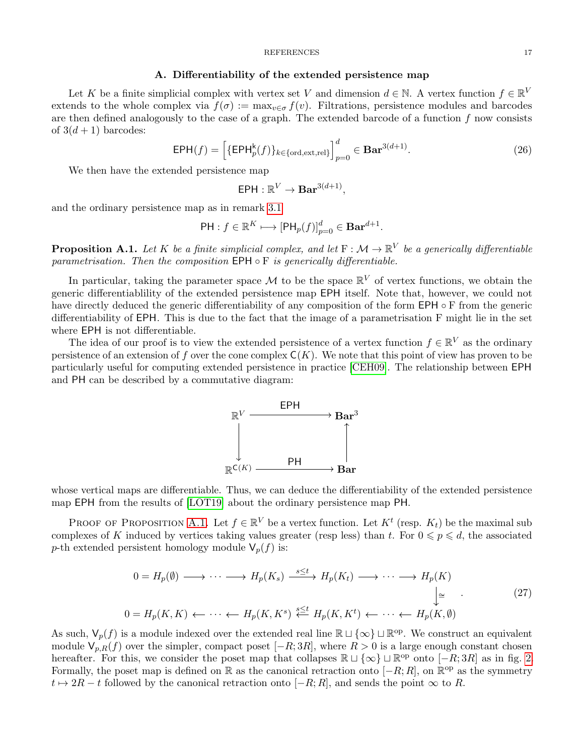#### A. Differentiability of the extended persistence map

<span id="page-16-0"></span>Let K be a finite simplicial complex with vertex set V and dimension  $d \in \mathbb{N}$ . A vertex function  $f \in \mathbb{R}^V$ extends to the whole complex via  $f(\sigma) := \max_{v \in \sigma} f(v)$ . Filtrations, persistence modules and barcodes are then defined analogously to the case of a graph. The extended barcode of a function  $f$  now consists of  $3(d+1)$  barcodes:

$$
\mathsf{EPH}(f) = \left[ \{ \mathsf{EPH}_p^{\mathsf{k}}(f) \}_{k \in \{\text{ord}, \text{ext}, \text{rel}\}} \right]_{p=0}^d \in \mathbf{Bar}^{3(d+1)}.
$$
 (26)

We then have the extended persistence map

$$
\mathsf{EPH}: \mathbb{R}^V \to \mathbf{Bar}^{3(d+1)},
$$

and the ordinary persistence map as in remark [3.1](#page-7-2)

$$
\mathsf{PH}: f \in \mathbb{R}^K \longmapsto [\mathsf{PH}_p(f)]_{p=0}^d \in \mathbf{Bar}^{d+1}.
$$

<span id="page-16-1"></span>**Proposition A.1.** Let K be a finite simplicial complex, and let  $F : \mathcal{M} \to \mathbb{R}^V$  be a generically differentiable parametrisation. Then the composition  $EPH \circ F$  is generically differentiable.

In particular, taking the parameter space M to be the space  $\mathbb{R}^V$  of vertex functions, we obtain the generic differentiablility of the extended persistence map EPH itself. Note that, however, we could not have directly deduced the generic differentiability of any composition of the form EPH ◦ F from the generic differentiability of EPH. This is due to the fact that the image of a parametrisation F might lie in the set where EPH is not differentiable.

The idea of our proof is to view the extended persistence of a vertex function  $f \in \mathbb{R}^V$  as the ordinary persistence of an extension of f over the cone complex  $C(K)$ . We note that this point of view has proven to be particularly useful for computing extended persistence in practice [\[CEH09\]](#page-13-13). The relationship between EPH and PH can be described by a commutative diagram:



whose vertical maps are differentiable. Thus, we can deduce the differentiability of the extended persistence map EPH from the results of [\[LOT19\]](#page-14-9) about the ordinary persistence map PH.

PROOF OF PROPOSITION [A.1.](#page-16-1) Let  $f \in \mathbb{R}^V$  be a vertex function. Let  $K^t$  (resp.  $K_t$ ) be the maximal sub complexes of K induced by vertices taking values greater (resp less) than t. For  $0 \leq p \leq d$ , the associated p-th extended persistent homology module  $V_p(f)$  is:

$$
0 = H_p(\emptyset) \longrightarrow \cdots \longrightarrow H_p(K_s) \xrightarrow{s \le t} H_p(K_t) \longrightarrow \cdots \longrightarrow H_p(K) \qquad \qquad \downarrow \cong \qquad (27)
$$
\n
$$
0 = H_p(K, K) \longleftarrow \cdots \longleftarrow H_p(K, K^s) \xleftarrow{s \le t} H_p(K, K^t) \longleftarrow \cdots \longleftarrow H_p(K, \emptyset)
$$

As such,  $\mathsf{V}_p(f)$  is a module indexed over the extended real line  $\mathbb{R} \sqcup \{\infty\} \sqcup \mathbb{R}^{\text{op}}$ . We construct an equivalent module  $V_{p,R}(f)$  over the simpler, compact poset  $[-R; 3R]$ , where  $R > 0$  is a large enough constant chosen hereafter. For this, we consider the poset map that collapses  $\mathbb{R} \sqcup \{\infty\} \sqcup \mathbb{R}^{\text{op}}$  onto  $[-R; 3R]$  as in fig. [2.](#page-17-0) Formally, the poset map is defined on R as the canonical retraction onto  $[-R;R]$ , on  $\mathbb{R}^{\text{op}}$  as the symmetry  $t \mapsto 2R - t$  followed by the canonical retraction onto  $[-R; R]$ , and sends the point  $\infty$  to R.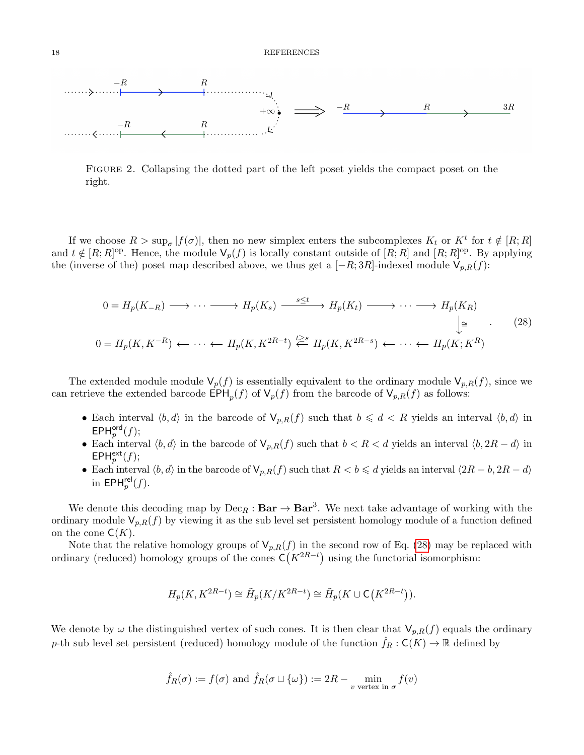<span id="page-17-0"></span>

Figure 2. Collapsing the dotted part of the left poset yields the compact poset on the right.

If we choose  $R > \sup_{\sigma} |f(\sigma)|$ , then no new simplex enters the subcomplexes  $K_t$  or  $K^t$  for  $t \notin [R;R]$ and  $t \notin [R; R]^{\text{op}}$ . Hence, the module  $\mathsf{V}_p(f)$  is locally constant outside of  $[R; R]$  and  $[R; R]^{\text{op}}$ . By applying the (inverse of the) poset map described above, we thus get a  $[-R; 3R]$ -indexed module  $V_{p,R}(f)$ :

<span id="page-17-1"></span>
$$
0 = H_p(K_{-R}) \longrightarrow \cdots \longrightarrow H_p(K_s) \xrightarrow{s \le t} H_p(K_t) \longrightarrow \cdots \longrightarrow H_p(K_R)
$$
  
\n
$$
\downarrow \cong \qquad (28)
$$
  
\n
$$
0 = H_p(K, K^{-R}) \longleftarrow \cdots \longleftarrow H_p(K, K^{2R-t}) \stackrel{t \ge s}{\longleftarrow} H_p(K, K^{2R-s}) \longleftarrow \cdots \longleftarrow H_p(K; K^R)
$$

The extended module module  $\mathsf{V}_p(f)$  is essentially equivalent to the ordinary module  $\mathsf{V}_{p,R}(f)$ , since we can retrieve the extended barcode  $\text{EPH}_p(f)$  of  $\mathsf{V}_p(f)$  from the barcode of  $\mathsf{V}_{p,R}(f)$  as follows:

- Each interval  $\langle b, d \rangle$  in the barcode of  $V_{p,R}(f)$  such that  $b \leq d < R$  yields an interval  $\langle b, d \rangle$  in  $\mathsf{EPH}^{\mathsf{ord}}_p(f);$
- Each interval  $\langle b, d \rangle$  in the barcode of  $V_{p,R}(f)$  such that  $b < R < d$  yields an interval  $\langle b, 2R d \rangle$  in  $EPH<sub>p</sub><sup>ext</sup>(f);$
- Each interval  $\langle b, d \rangle$  in the barcode of  $\mathsf{V}_{p,R}(f)$  such that  $R < b \leq d$  yields an interval  $\langle 2R b, 2R d \rangle$ in  $\textsf{EPH}^{\textsf{rel}}_p(f)$ .

We denote this decoding map by  $Dec_R : Bar \to Bar^3$ . We next take advantage of working with the ordinary module  $V_{p,R}(f)$  by viewing it as the sub level set persistent homology module of a function defined on the cone  $\mathsf{C}(K)$ .

Note that the relative homology groups of  $V_{p,R}(f)$  in the second row of Eq. [\(28\)](#page-17-1) may be replaced with ordinary (reduced) homology groups of the cones  $C(K^{2R-t})$  using the functorial isomorphism:

$$
H_p(K, K^{2R-t}) \cong \tilde{H}_p(K/K^{2R-t}) \cong \tilde{H}_p(K \cup \mathsf{C}\big(K^{2R-t}\big)).
$$

We denote by  $\omega$  the distinguished vertex of such cones. It is then clear that  $V_{p,R}(f)$  equals the ordinary p-th sub level set persistent (reduced) homology module of the function  $\hat{f}_R : \mathsf{C}(K) \to \mathbb{R}$  defined by

$$
\hat{f}_R(\sigma) := f(\sigma)
$$
 and  $\hat{f}_R(\sigma \sqcup {\omega}) := 2R - \min_{v \text{ vertex in } \sigma} f(v)$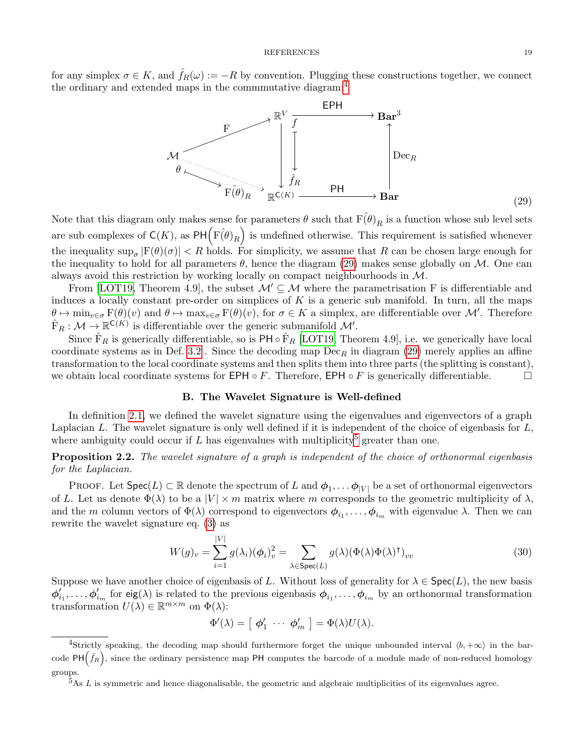for any simplex  $\sigma \in K$ , and  $\hat{f}_R(\omega) := -R$  by convention. Plugging these constructions together, we connect the ordinary and extended maps in the commmutative diagram:<sup>[4](#page-18-1)</sup>

<span id="page-18-2"></span>

Note that this diagram only makes sense for parameters  $\theta$  such that  $F(\hat{\theta})_R$  is a function whose sub level sets are sub complexes of  $\mathsf{C}(K)$ , as  $\mathsf{PH}(\widehat{\mathrm{F}(\theta)}_R)$  is undefined otherwise. This requirement is satisfied whenever the inequality  $\sup_{\sigma} |F(\theta)(\sigma)| < R$  holds. For simplicity, we assume that R can be chosen large enough for the inequality to hold for all parameters  $\theta$ , hence the diagram [\(29\)](#page-18-2) makes sense globally on M. One can always avoid this restriction by working locally on compact neighbourhoods in M.

From [\[LOT19,](#page-14-9) Theorem 4.9], the subset  $\mathcal{M}' \subseteq \mathcal{M}$  where the parametrisation F is differentiable and induces a locally constant pre-order on simplices of  $K$  is a generic sub manifold. In turn, all the maps  $\theta \mapsto \min_{v \in \sigma} \mathcal{F}(\theta)(v)$  and  $\theta \mapsto \max_{v \in \sigma} \mathcal{F}(\theta)(v)$ , for  $\sigma \in K$  a simplex, are differentiable over M'. Therefore  $\hat{F}_R : \mathcal{M} \to \mathbb{R}^{C(K)}$  is differentiable over the generic submanifold  $\mathcal{M}'$ .

Since  $\hat{F}_R$  is generically differentiable, so is PH  $\circ$   $\hat{F}_R$  [\[LOT19,](#page-14-9) Theorem 4.9], i.e. we generically have local coordinate systems as in Def. [3.2](#page-7-3). Since the decoding map  $Dec_R$  in diagram [\(29\)](#page-18-2) merely applies an affine transformation to the local coordinate systems and then splits them into three parts (the splitting is constant), we obtain local coordinate systems for EPH  $\circ$  F. Therefore, EPH  $\circ$  F is generically differentiable.

# B. The Wavelet Signature is Well-defined

<span id="page-18-0"></span>In definition [2.1,](#page-3-4) we defined the wavelet signature using the eigenvalues and eigenvectors of a graph Laplacian  $L$ . The wavelet signature is only well defined if it is independent of the choice of eigenbasis for  $L$ , where ambiguity could occur if  $L$  has eigenvalues with multiplicity<sup>[5](#page-18-3)</sup> greater than one.

**Proposition 2.2.** The wavelet signature of a graph is independent of the choice of orthonormal eigenbasis for the Laplacian.

PROOF. Let  $Spec(L) \subset \mathbb{R}$  denote the spectrum of L and  $\phi_1, \ldots, \phi_{|V|}$  be a set of orthonormal eigenvectors of L. Let us denote  $\Phi(\lambda)$  to be a  $|V| \times m$  matrix where m corresponds to the geometric multiplicity of  $\lambda$ , and the m column vectors of  $\Phi(\lambda)$  correspond to eigenvectors  $\phi_{i_1}, \dots, \phi_{i_m}$  with eigenvalue  $\lambda$ . Then we can rewrite the wavelet signature eq. [\(3\)](#page-3-1) as

<span id="page-18-4"></span>
$$
W(g)_v = \sum_{i=1}^{|V|} g(\lambda_i) (\phi_i)_v^2 = \sum_{\lambda \in \text{Spec}(L)} g(\lambda) (\Phi(\lambda) \Phi(\lambda)^\mathsf{T})_{vv}
$$
(30)

Suppose we have another choice of eigenbasis of L. Without loss of generality for  $\lambda \in \text{Spec}(L)$ , the new basis  $\phi'_{i_1},\ldots,\phi'_{i_m}$  for eig( $\lambda$ ) is related to the previous eigenbasis  $\phi_{i_1},\ldots,\phi_{i_m}$  by an orthonormal transformation transformation  $U(\lambda) \in \mathbb{R}^{m \times m}$  on  $\Phi(\lambda)$ :

$$
\Phi'(\lambda) = [\phi'_1 \ \cdots \ \phi'_m] = \Phi(\lambda)U(\lambda).
$$

<span id="page-18-1"></span><sup>&</sup>lt;sup>4</sup>Strictly speaking, the decoding map should furthermore forget the unique unbounded interval  $\langle b, +\infty \rangle$  in the barcode PH $(\hat{f}_R)$ , since the ordinary persistence map PH computes the barcode of a module made of non-reduced homology groups.

<span id="page-18-3"></span> $5$ As L is symmetric and hence diagonalisable, the geometric and algebraic multiplicities of its eigenvalues agree.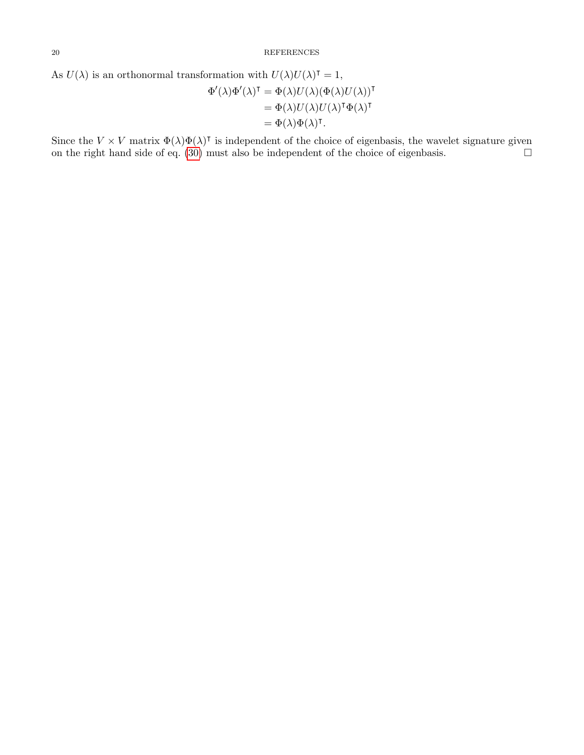As 
$$
U(\lambda)
$$
 is an orthonormal transformation with  $U(\lambda)U(\lambda)^{\intercal} = 1$ ,  
\n
$$
\Phi'(\lambda)\Phi'(\lambda)^{\intercal} = \Phi(\lambda)U(\lambda)(\Phi(\lambda)U(\lambda))^{\intercal}
$$
\n
$$
= \Phi(\lambda)U(\lambda)U(\lambda)^{\intercal}\Phi(\lambda)^{\intercal}
$$
\n
$$
= \Phi(\lambda)\Phi(\lambda)^{\intercal}.
$$

Since the  $V \times V$  matrix  $\Phi(\lambda)\Phi(\lambda)$ <sup>T</sup> is independent of the choice of eigenbasis, the wavelet signature given on the right hand side of eq.  $(30)$  must also be independent of the choice of eigenbasis.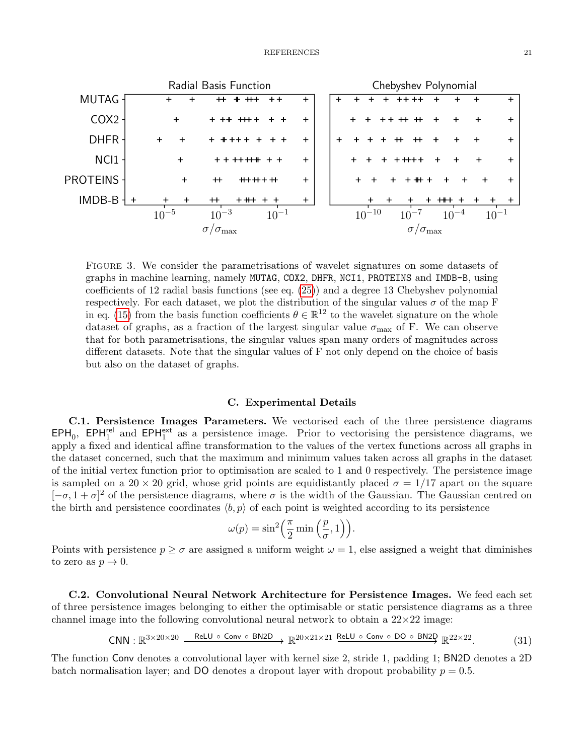<span id="page-20-0"></span>

Figure 3. We consider the parametrisations of wavelet signatures on some datasets of graphs in machine learning, namely MUTAG, COX2, DHFR, NCI1, PROTEINS and IMDB-B, using coefficients of 12 radial basis functions (see eq. [\(25\)](#page-9-1)) and a degree 13 Chebyshev polynomial respectively. For each dataset, we plot the distribution of the singular values  $\sigma$  of the map F in eq. [\(15\)](#page-5-4) from the basis function coefficients  $\theta \in \mathbb{R}^{12}$  to the wavelet signature on the whole dataset of graphs, as a fraction of the largest singular value  $\sigma_{\text{max}}$  of F. We can observe that for both parametrisations, the singular values span many orders of magnitudes across different datasets. Note that the singular values of F not only depend on the choice of basis but also on the dataset of graphs.

## C. Experimental Details

<span id="page-20-1"></span>C.1. Persistence Images Parameters. We vectorised each of the three persistence diagrams  $EPH_0$ ,  $EPH_1^{\text{rel}}$  and  $EPH_1^{\text{ext}}$  as a persistence image. Prior to vectorising the persistence diagrams, we apply a fixed and identical affine transformation to the values of the vertex functions across all graphs in the dataset concerned, such that the maximum and minimum values taken across all graphs in the dataset of the initial vertex function prior to optimisation are scaled to 1 and 0 respectively. The persistence image is sampled on a 20  $\times$  20 grid, whose grid points are equidistantly placed  $\sigma = 1/17$  apart on the square  $[-\sigma, 1 + \sigma]^2$  of the persistence diagrams, where  $\sigma$  is the width of the Gaussian. The Gaussian centred on the birth and persistence coordinates  $\langle b, p \rangle$  of each point is weighted according to its persistence

$$
\omega(p) = \sin^2\left(\frac{\pi}{2}\min\left(\frac{p}{\sigma}, 1\right)\right).
$$

Points with persistence  $p \ge \sigma$  are assigned a uniform weight  $\omega = 1$ , else assigned a weight that diminishes to zero as  $p \to 0$ .

C.2. Convolutional Neural Network Architecture for Persistence Images. We feed each set of three persistence images belonging to either the optimisable or static persistence diagrams as a three channel image into the following convolutional neural network to obtain a  $22\times22$  image:

$$
\text{CNN}: \mathbb{R}^{3 \times 20 \times 20} \xrightarrow{\text{ReLU } \circ \text{ Conv } \circ \text{BN2D}} \mathbb{R}^{20 \times 21 \times 21} \xrightarrow{\text{ReLU } \circ \text{Conv } \circ \text{DO } \circ \text{BN2D}} \mathbb{R}^{22 \times 22}. \tag{31}
$$

The function Conv denotes a convolutional layer with kernel size 2, stride 1, padding 1; BN2D denotes a 2D batch normalisation layer; and DO denotes a dropout layer with dropout probability  $p = 0.5$ .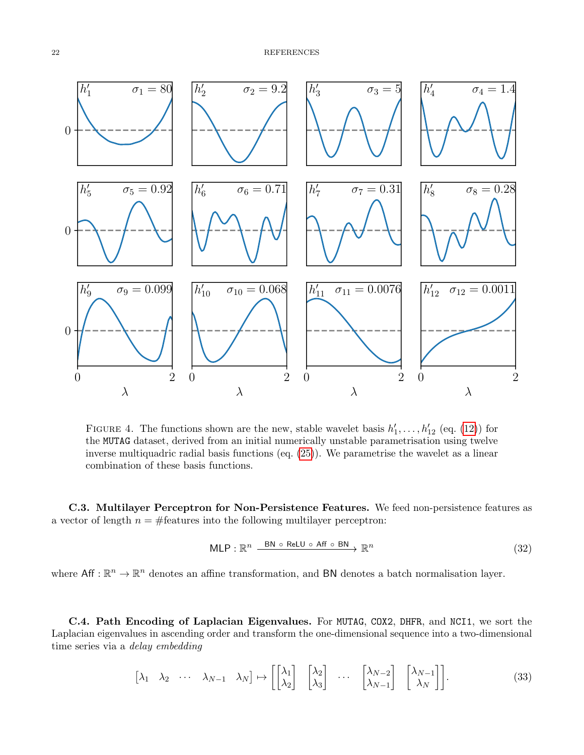<span id="page-21-0"></span>

FIGURE 4. The functions shown are the new, stable wavelet basis  $h'_1, \ldots, h'_{12}$  (eq. [\(12\)](#page-5-3)) for the MUTAG dataset, derived from an initial numerically unstable parametrisation using twelve inverse multiquadric radial basis functions (eq. [\(25\)](#page-9-1)). We parametrise the wavelet as a linear combination of these basis functions.

C.3. Multilayer Perceptron for Non-Persistence Features. We feed non-persistence features as a vector of length  $n = #$  features into the following multilayer perceptron:

$$
\mathsf{MLP} : \mathbb{R}^n \xrightarrow{\mathsf{BN} \circ \mathsf{ReLU} \circ \mathsf{Aff} \circ \mathsf{BN}} \mathbb{R}^n \tag{32}
$$

where  $\mathsf{Aff}: \mathbb{R}^n \to \mathbb{R}^n$  denotes an affine transformation, and **BN** denotes a batch normalisation layer.

C.4. Path Encoding of Laplacian Eigenvalues. For MUTAG, COX2, DHFR, and NCI1, we sort the Laplacian eigenvalues in ascending order and transform the one-dimensional sequence into a two-dimensional time series via a delay embedding

$$
\begin{bmatrix} \lambda_1 & \lambda_2 & \cdots & \lambda_{N-1} & \lambda_N \end{bmatrix} \mapsto \begin{bmatrix} \begin{bmatrix} \lambda_1 \\ \lambda_2 \end{bmatrix} & \begin{bmatrix} \lambda_2 \\ \lambda_3 \end{bmatrix} & \cdots & \begin{bmatrix} \lambda_{N-2} \\ \lambda_{N-1} \end{bmatrix} & \begin{bmatrix} \lambda_{N-1} \\ \lambda_N \end{bmatrix} \end{bmatrix} . \tag{33}
$$